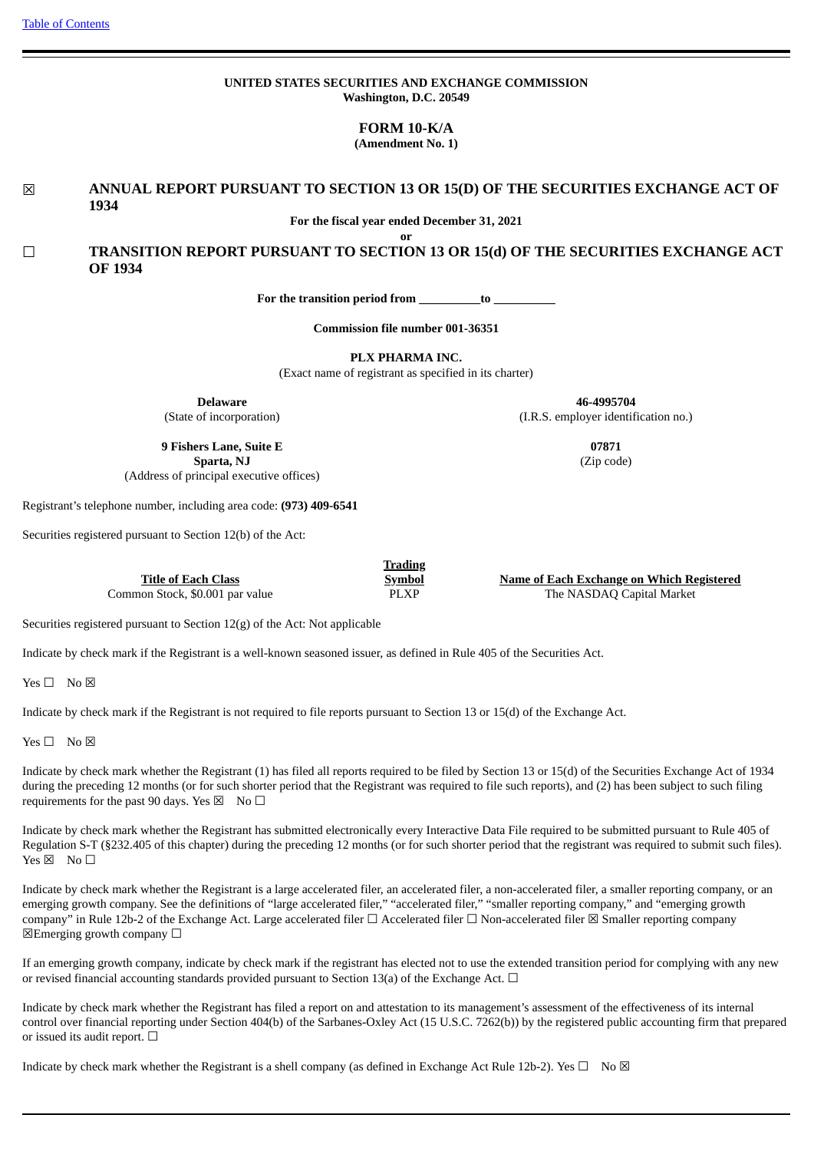|  | <b>Table of Contents</b> |
|--|--------------------------|
|  |                          |

## **UNITED STATES SECURITIES AND EXCHANGE COMMISSION Washington, D.C. 20549**

**FORM 10-K/A**

**(Amendment No. 1)**

☒ **ANNUAL REPORT PURSUANT TO SECTION 13 OR 15(D) OF THE SECURITIES EXCHANGE ACT OF 1934**

**For the fiscal year ended December 31, 2021 or**

☐ **TRANSITION REPORT PURSUANT TO SECTION 13 OR 15(d) OF THE SECURITIES EXCHANGE ACT OF 1934**

**For the transition period from \_\_\_\_\_\_\_\_\_\_to \_\_\_\_\_\_\_\_\_\_**

**Commission file number 001-36351**

**PLX PHARMA INC.**

(Exact name of registrant as specified in its charter)

**Delaware** (State of incorporation)

**46-4995704** (I.R.S. employer identification no.)

> **07871** (Zip code)

**9 Fishers Lane, Suite E Sparta, NJ** (Address of principal executive offices)

Registrant's telephone number, including area code: **(973) 409-6541**

Securities registered pursuant to Section 12(b) of the Act:

**Title of Each Class Trading Symbol Name of Each Exchange on Which Registered** Common Stock, \$0.001 par value  $PLXP$  The NASDAQ Capital Market

Securities registered pursuant to Section 12(g) of the Act: Not applicable

Indicate by check mark if the Registrant is a well-known seasoned issuer, as defined in Rule 405 of the Securities Act.

Yes □ No ⊠

Indicate by check mark if the Registrant is not required to file reports pursuant to Section 13 or 15(d) of the Exchange Act.

 $Yes \Box No \boxtimes$ 

Indicate by check mark whether the Registrant (1) has filed all reports required to be filed by Section 13 or 15(d) of the Securities Exchange Act of 1934 during the preceding 12 months (or for such shorter period that the Registrant was required to file such reports), and (2) has been subject to such filing requirements for the past 90 days. Yes  $\boxtimes$  No  $\Box$ 

Indicate by check mark whether the Registrant has submitted electronically every Interactive Data File required to be submitted pursuant to Rule 405 of Regulation S-T (§232.405 of this chapter) during the preceding 12 months (or for such shorter period that the registrant was required to submit such files).  $Yes \boxtimes No \Box$ 

Indicate by check mark whether the Registrant is a large accelerated filer, an accelerated filer, a non-accelerated filer, a smaller reporting company, or an emerging growth company. See the definitions of "large accelerated filer," "accelerated filer," "smaller reporting company," and "emerging growth company" in Rule 12b-2 of the Exchange Act. Large accelerated filer ☐ Accelerated filer ☐ Non-accelerated filer ☒ Smaller reporting company  $\boxtimes$ Emerging growth company  $\Box$ 

If an emerging growth company, indicate by check mark if the registrant has elected not to use the extended transition period for complying with any new or revised financial accounting standards provided pursuant to Section 13(a) of the Exchange Act.  $\Box$ 

Indicate by check mark whether the Registrant has filed a report on and attestation to its management's assessment of the effectiveness of its internal control over financial reporting under Section 404(b) of the Sarbanes-Oxley Act (15 U.S.C. 7262(b)) by the registered public accounting firm that prepared or issued its audit report.  $\Box$ 

Indicate by check mark whether the Registrant is a shell company (as defined in Exchange Act Rule 12b-2). Yes  $\Box$  No  $\boxtimes$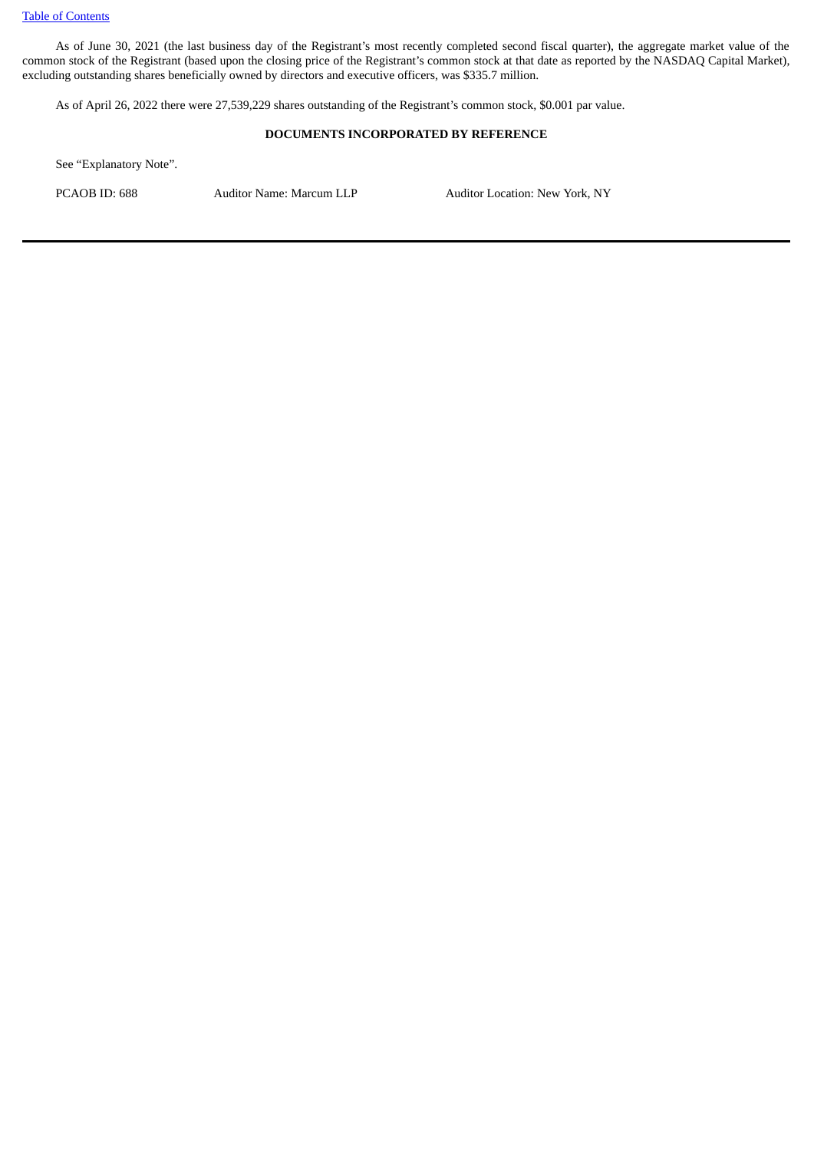As of June 30, 2021 (the last business day of the Registrant's most recently completed second fiscal quarter), the aggregate market value of the common stock of the Registrant (based upon the closing price of the Registrant's common stock at that date as reported by the NASDAQ Capital Market), excluding outstanding shares beneficially owned by directors and executive officers, was \$335.7 million.

As of April 26, 2022 there were 27,539,229 shares outstanding of the Registrant's common stock, \$0.001 par value.

## **DOCUMENTS INCORPORATED BY REFERENCE**

See "Explanatory Note".

PCAOB ID: 688 Auditor Name: Marcum LLP Auditor Location: New York, NY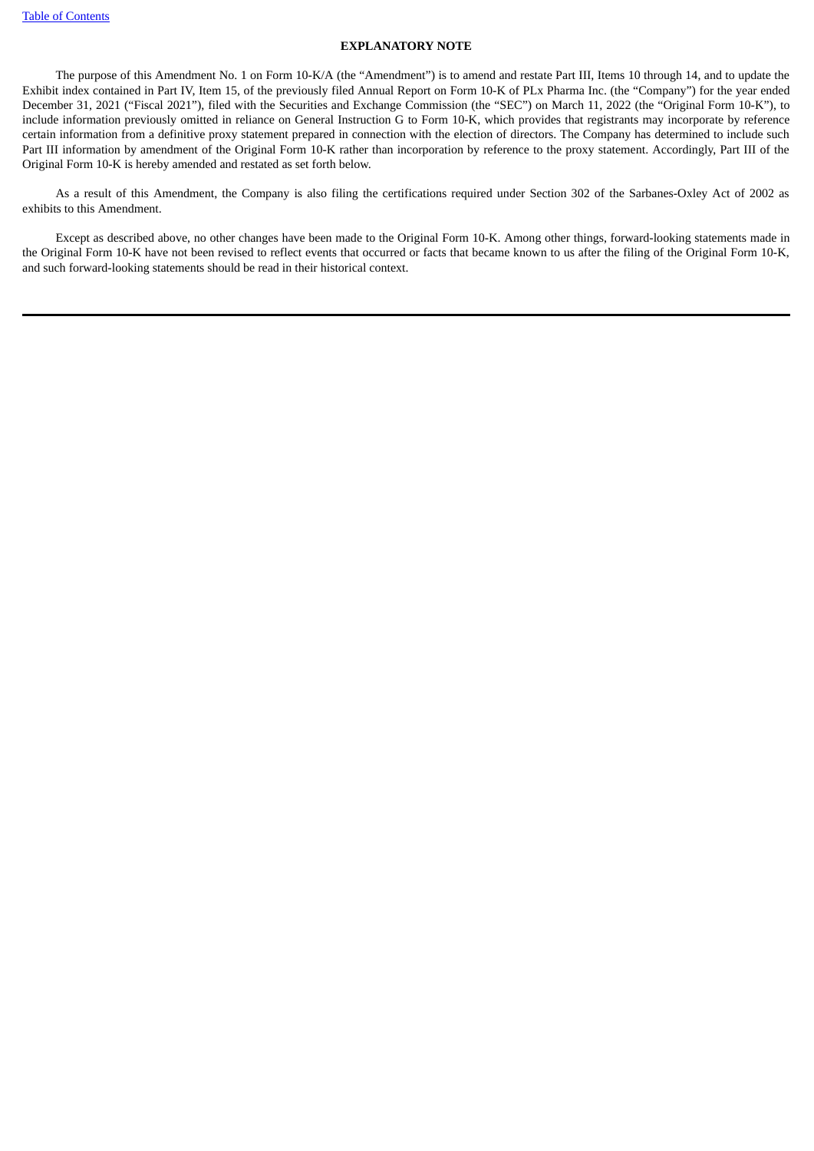## **EXPLANATORY NOTE**

The purpose of this Amendment No. 1 on Form 10-K/A (the "Amendment") is to amend and restate Part III, Items 10 through 14, and to update the Exhibit index contained in Part IV, Item 15, of the previously filed Annual Report on Form 10-K of PLx Pharma Inc. (the "Company") for the year ended December 31, 2021 ("Fiscal 2021"), filed with the Securities and Exchange Commission (the "SEC") on March 11, 2022 (the "Original Form 10-K"), to include information previously omitted in reliance on General Instruction G to Form 10-K, which provides that registrants may incorporate by reference certain information from a definitive proxy statement prepared in connection with the election of directors. The Company has determined to include such Part III information by amendment of the Original Form 10-K rather than incorporation by reference to the proxy statement. Accordingly, Part III of the Original Form 10-K is hereby amended and restated as set forth below.

As a result of this Amendment, the Company is also filing the certifications required under Section 302 of the Sarbanes-Oxley Act of 2002 as exhibits to this Amendment.

Except as described above, no other changes have been made to the Original Form 10-K. Among other things, forward-looking statements made in the Original Form 10-K have not been revised to reflect events that occurred or facts that became known to us after the filing of the Original Form 10-K, and such forward-looking statements should be read in their historical context.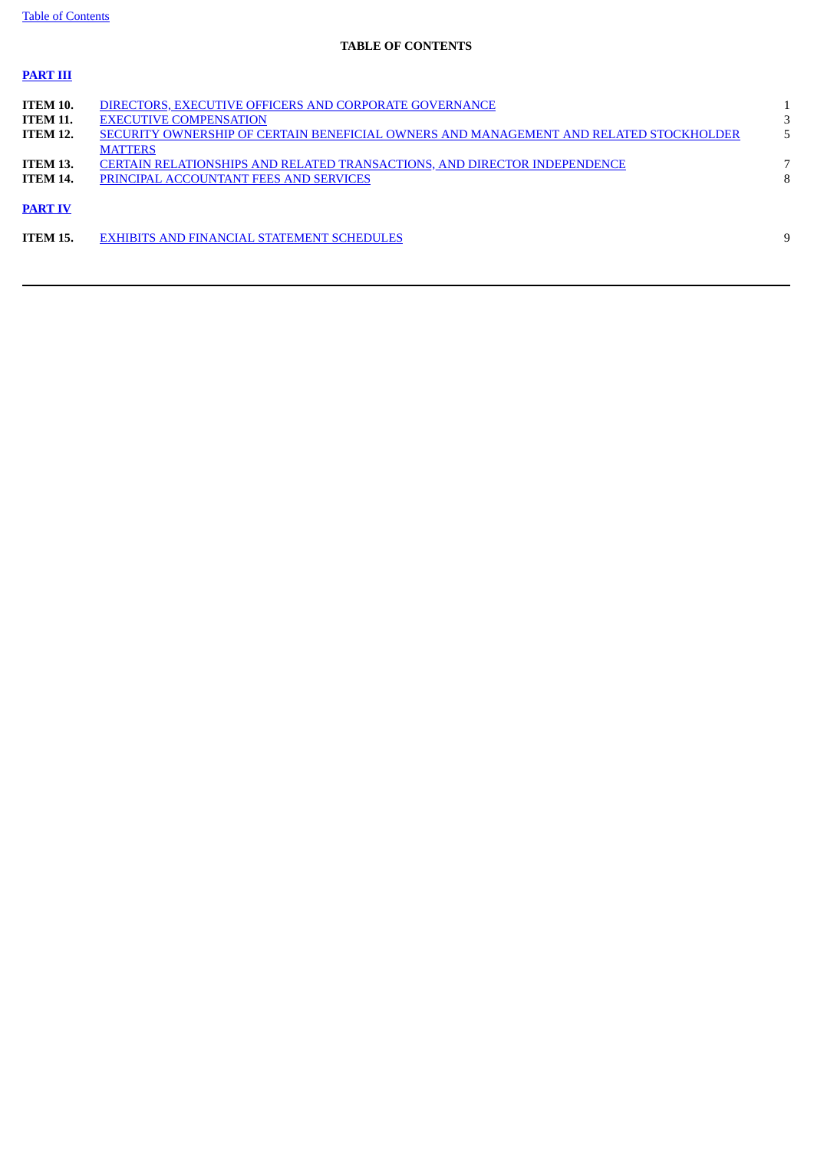**PART III**

# **TABLE OF CONTENTS**

| <b>ITEM 10.</b> | DIRECTORS, EXECUTIVE OFFICERS AND CORPORATE GOVERNANCE                                 |   |
|-----------------|----------------------------------------------------------------------------------------|---|
| <b>ITEM 11.</b> | <b>EXECUTIVE COMPENSATION</b>                                                          |   |
| <b>ITEM 12.</b> | SECURITY OWNERSHIP OF CERTAIN BENEFICIAL OWNERS AND MANAGEMENT AND RELATED STOCKHOLDER |   |
|                 | <b>MATTERS</b>                                                                         |   |
| <b>ITEM 13.</b> | CERTAIN RELATIONSHIPS AND RELATED TRANSACTIONS, AND DIRECTOR INDEPENDENCE              |   |
| <b>ITEM 14.</b> | PRINCIPAL ACCOUNTANT FEES AND SERVICES                                                 | 8 |
|                 |                                                                                        |   |
| <b>PART IV</b>  |                                                                                        |   |
|                 |                                                                                        |   |
| <b>ITEM 15.</b> | <b>EXHIBITS AND FINANCIAL STATEMENT SCHEDULES</b>                                      | 9 |
|                 |                                                                                        |   |
|                 |                                                                                        |   |
|                 |                                                                                        |   |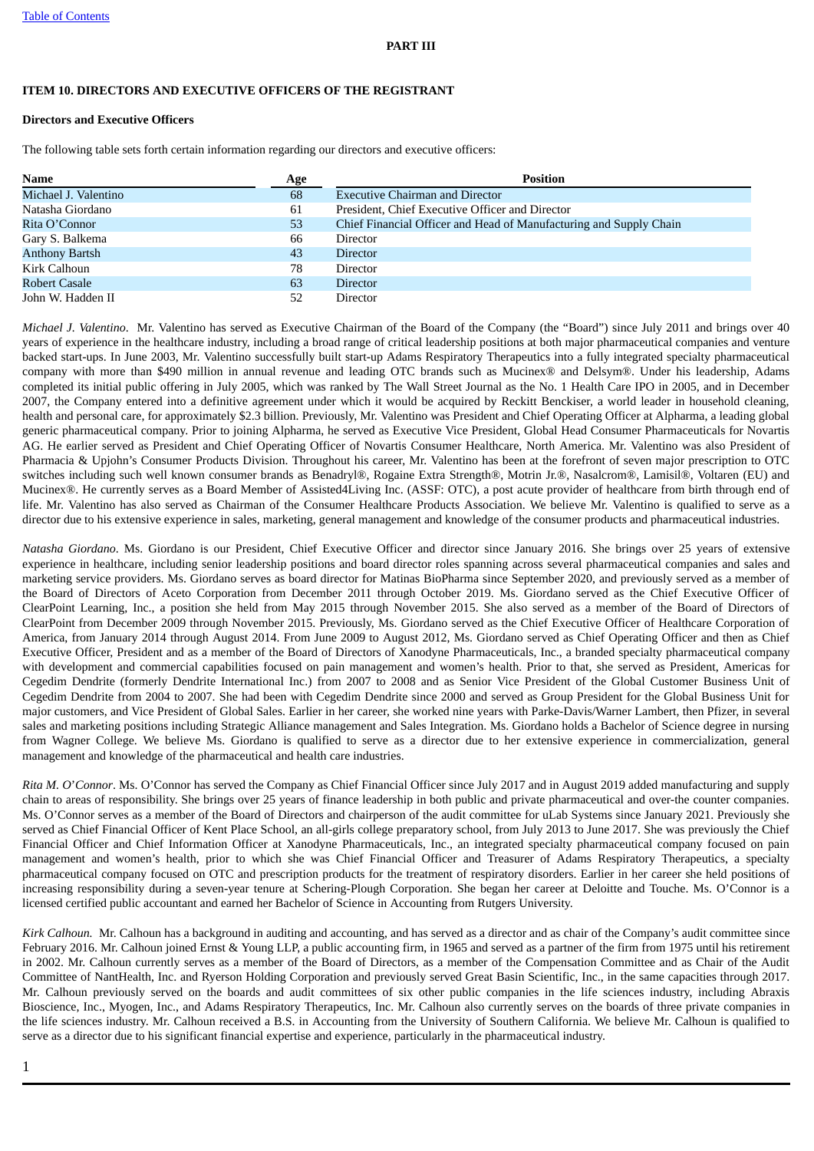#### **PART III**

## **ITEM 10. DIRECTORS AND EXECUTIVE OFFICERS OF THE REGISTRANT**

## **Directors and Executive Officers**

The following table sets forth certain information regarding our directors and executive officers:

| <b>Name</b>           | Age | <b>Position</b>                                                    |
|-----------------------|-----|--------------------------------------------------------------------|
| Michael J. Valentino  | 68  | <b>Executive Chairman and Director</b>                             |
| Natasha Giordano      | 61  | President, Chief Executive Officer and Director                    |
| Rita O'Connor         | 53  | Chief Financial Officer and Head of Manufacturing and Supply Chain |
| Gary S. Balkema       | 66  | Director                                                           |
| <b>Anthony Bartsh</b> | 43  | <b>Director</b>                                                    |
| Kirk Calhoun          | 78  | <b>Director</b>                                                    |
| Robert Casale         | 63  | <b>Director</b>                                                    |
| John W. Hadden II     | 52  | Director                                                           |

*Michael J. Valentino*. Mr. Valentino has served as Executive Chairman of the Board of the Company (the "Board") since July 2011 and brings over 40 years of experience in the healthcare industry, including a broad range of critical leadership positions at both major pharmaceutical companies and venture backed start-ups. In June 2003, Mr. Valentino successfully built start-up Adams Respiratory Therapeutics into a fully integrated specialty pharmaceutical company with more than \$490 million in annual revenue and leading OTC brands such as Mucinex® and Delsym®. Under his leadership, Adams completed its initial public offering in July 2005, which was ranked by The Wall Street Journal as the No. 1 Health Care IPO in 2005, and in December 2007, the Company entered into a definitive agreement under which it would be acquired by Reckitt Benckiser, a world leader in household cleaning, health and personal care, for approximately \$2.3 billion. Previously, Mr. Valentino was President and Chief Operating Officer at Alpharma, a leading global generic pharmaceutical company. Prior to joining Alpharma, he served as Executive Vice President, Global Head Consumer Pharmaceuticals for Novartis AG. He earlier served as President and Chief Operating Officer of Novartis Consumer Healthcare, North America. Mr. Valentino was also President of Pharmacia & Upjohn's Consumer Products Division. Throughout his career, Mr. Valentino has been at the forefront of seven major prescription to OTC switches including such well known consumer brands as Benadryl®, Rogaine Extra Strength®, Motrin Jr.®, Nasalcrom®, Lamisil®, Voltaren (EU) and Mucinex®. He currently serves as a Board Member of Assisted4Living Inc. (ASSF: OTC), a post acute provider of healthcare from birth through end of life. Mr. Valentino has also served as Chairman of the Consumer Healthcare Products Association. We believe Mr. Valentino is qualified to serve as a director due to his extensive experience in sales, marketing, general management and knowledge of the consumer products and pharmaceutical industries.

*Natasha Giordano*. Ms. Giordano is our President, Chief Executive Officer and director since January 2016. She brings over 25 years of extensive experience in healthcare, including senior leadership positions and board director roles spanning across several pharmaceutical companies and sales and marketing service providers. Ms. Giordano serves as board director for Matinas BioPharma since September 2020, and previously served as a member of the Board of Directors of Aceto Corporation from December 2011 through October 2019. Ms. Giordano served as the Chief Executive Officer of ClearPoint Learning, Inc., a position she held from May 2015 through November 2015. She also served as a member of the Board of Directors of ClearPoint from December 2009 through November 2015. Previously, Ms. Giordano served as the Chief Executive Officer of Healthcare Corporation of America, from January 2014 through August 2014. From June 2009 to August 2012, Ms. Giordano served as Chief Operating Officer and then as Chief Executive Officer, President and as a member of the Board of Directors of Xanodyne Pharmaceuticals, Inc., a branded specialty pharmaceutical company with development and commercial capabilities focused on pain management and women's health. Prior to that, she served as President, Americas for Cegedim Dendrite (formerly Dendrite International Inc.) from 2007 to 2008 and as Senior Vice President of the Global Customer Business Unit of Cegedim Dendrite from 2004 to 2007. She had been with Cegedim Dendrite since 2000 and served as Group President for the Global Business Unit for major customers, and Vice President of Global Sales. Earlier in her career, she worked nine years with Parke-Davis/Warner Lambert, then Pfizer, in several sales and marketing positions including Strategic Alliance management and Sales Integration. Ms. Giordano holds a Bachelor of Science degree in nursing from Wagner College. We believe Ms. Giordano is qualified to serve as a director due to her extensive experience in commercialization, general management and knowledge of the pharmaceutical and health care industries.

*Rita M. O*'*Connor*. Ms. O'Connor has served the Company as Chief Financial Officer since July 2017 and in August 2019 added manufacturing and supply chain to areas of responsibility. She brings over 25 years of finance leadership in both public and private pharmaceutical and over-the counter companies. Ms. O'Connor serves as a member of the Board of Directors and chairperson of the audit committee for uLab Systems since January 2021. Previously she served as Chief Financial Officer of Kent Place School, an all-girls college preparatory school, from July 2013 to June 2017. She was previously the Chief Financial Officer and Chief Information Officer at Xanodyne Pharmaceuticals, Inc., an integrated specialty pharmaceutical company focused on pain management and women's health, prior to which she was Chief Financial Officer and Treasurer of Adams Respiratory Therapeutics, a specialty pharmaceutical company focused on OTC and prescription products for the treatment of respiratory disorders. Earlier in her career she held positions of increasing responsibility during a seven-year tenure at Schering-Plough Corporation. She began her career at Deloitte and Touche. Ms. O'Connor is a licensed certified public accountant and earned her Bachelor of Science in Accounting from Rutgers University.

*Kirk Calhoun.* Mr. Calhoun has a background in auditing and accounting, and has served as a director and as chair of the Company's audit committee since February 2016. Mr. Calhoun joined Ernst & Young LLP, a public accounting firm, in 1965 and served as a partner of the firm from 1975 until his retirement in 2002. Mr. Calhoun currently serves as a member of the Board of Directors, as a member of the Compensation Committee and as Chair of the Audit Committee of NantHealth, Inc. and Ryerson Holding Corporation and previously served Great Basin Scientific, Inc., in the same capacities through 2017. Mr. Calhoun previously served on the boards and audit committees of six other public companies in the life sciences industry, including Abraxis Bioscience, Inc., Myogen, Inc., and Adams Respiratory Therapeutics, Inc. Mr. Calhoun also currently serves on the boards of three private companies in the life sciences industry. Mr. Calhoun received a B.S. in Accounting from the University of Southern California. We believe Mr. Calhoun is qualified to serve as a director due to his significant financial expertise and experience, particularly in the pharmaceutical industry.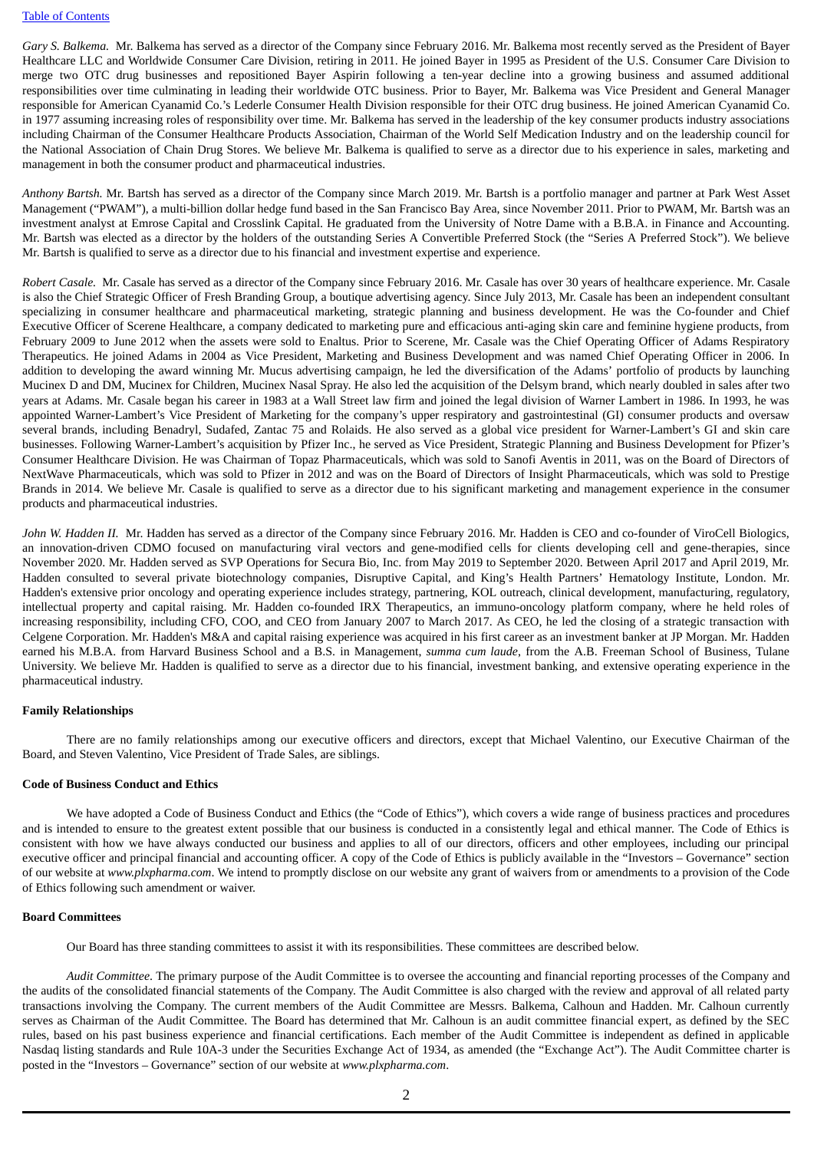*Gary S. Balkema.* Mr. Balkema has served as a director of the Company since February 2016. Mr. Balkema most recently served as the President of Bayer Healthcare LLC and Worldwide Consumer Care Division, retiring in 2011. He joined Bayer in 1995 as President of the U.S. Consumer Care Division to merge two OTC drug businesses and repositioned Bayer Aspirin following a ten-year decline into a growing business and assumed additional responsibilities over time culminating in leading their worldwide OTC business. Prior to Bayer, Mr. Balkema was Vice President and General Manager responsible for American Cyanamid Co.'s Lederle Consumer Health Division responsible for their OTC drug business. He joined American Cyanamid Co. in 1977 assuming increasing roles of responsibility over time. Mr. Balkema has served in the leadership of the key consumer products industry associations including Chairman of the Consumer Healthcare Products Association, Chairman of the World Self Medication Industry and on the leadership council for the National Association of Chain Drug Stores. We believe Mr. Balkema is qualified to serve as a director due to his experience in sales, marketing and management in both the consumer product and pharmaceutical industries.

*Anthony Bartsh.* Mr. Bartsh has served as a director of the Company since March 2019. Mr. Bartsh is a portfolio manager and partner at Park West Asset Management ("PWAM"), a multi-billion dollar hedge fund based in the San Francisco Bay Area, since November 2011. Prior to PWAM, Mr. Bartsh was an investment analyst at Emrose Capital and Crosslink Capital. He graduated from the University of Notre Dame with a B.B.A. in Finance and Accounting. Mr. Bartsh was elected as a director by the holders of the outstanding Series A Convertible Preferred Stock (the "Series A Preferred Stock"). We believe Mr. Bartsh is qualified to serve as a director due to his financial and investment expertise and experience.

*Robert Casale.* Mr. Casale has served as a director of the Company since February 2016. Mr. Casale has over 30 years of healthcare experience. Mr. Casale is also the Chief Strategic Officer of Fresh Branding Group, a boutique advertising agency. Since July 2013, Mr. Casale has been an independent consultant specializing in consumer healthcare and pharmaceutical marketing, strategic planning and business development. He was the Co-founder and Chief Executive Officer of Scerene Healthcare, a company dedicated to marketing pure and efficacious anti-aging skin care and feminine hygiene products, from February 2009 to June 2012 when the assets were sold to Enaltus. Prior to Scerene, Mr. Casale was the Chief Operating Officer of Adams Respiratory Therapeutics. He joined Adams in 2004 as Vice President, Marketing and Business Development and was named Chief Operating Officer in 2006. In addition to developing the award winning Mr. Mucus advertising campaign, he led the diversification of the Adams' portfolio of products by launching Mucinex D and DM, Mucinex for Children, Mucinex Nasal Spray. He also led the acquisition of the Delsym brand, which nearly doubled in sales after two years at Adams. Mr. Casale began his career in 1983 at a Wall Street law firm and joined the legal division of Warner Lambert in 1986. In 1993, he was appointed Warner-Lambert's Vice President of Marketing for the company's upper respiratory and gastrointestinal (GI) consumer products and oversaw several brands, including Benadryl, Sudafed, Zantac 75 and Rolaids. He also served as a global vice president for Warner-Lambert's GI and skin care businesses. Following Warner-Lambert's acquisition by Pfizer Inc., he served as Vice President, Strategic Planning and Business Development for Pfizer's Consumer Healthcare Division. He was Chairman of Topaz Pharmaceuticals, which was sold to Sanofi Aventis in 2011, was on the Board of Directors of NextWave Pharmaceuticals, which was sold to Pfizer in 2012 and was on the Board of Directors of Insight Pharmaceuticals, which was sold to Prestige Brands in 2014. We believe Mr. Casale is qualified to serve as a director due to his significant marketing and management experience in the consumer products and pharmaceutical industries.

*John W. Hadden II.* Mr. Hadden has served as a director of the Company since February 2016. Mr. Hadden is CEO and co-founder of ViroCell Biologics, an innovation-driven CDMO focused on manufacturing viral vectors and gene-modified cells for clients developing cell and gene-therapies, since November 2020. Mr. Hadden served as SVP Operations for Secura Bio, Inc. from May 2019 to September 2020. Between April 2017 and April 2019, Mr. Hadden consulted to several private biotechnology companies, Disruptive Capital, and King's Health Partners' Hematology Institute, London. Mr. Hadden's extensive prior oncology and operating experience includes strategy, partnering, KOL outreach, clinical development, manufacturing, regulatory, intellectual property and capital raising. Mr. Hadden co-founded IRX Therapeutics, an immuno-oncology platform company, where he held roles of increasing responsibility, including CFO, COO, and CEO from January 2007 to March 2017. As CEO, he led the closing of a strategic transaction with Celgene Corporation. Mr. Hadden's M&A and capital raising experience was acquired in his first career as an investment banker at JP Morgan. Mr. Hadden earned his M.B.A. from Harvard Business School and a B.S. in Management, *summa cum laude*, from the A.B. Freeman School of Business, Tulane University. We believe Mr. Hadden is qualified to serve as a director due to his financial, investment banking, and extensive operating experience in the pharmaceutical industry.

### **Family Relationships**

There are no family relationships among our executive officers and directors, except that Michael Valentino, our Executive Chairman of the Board, and Steven Valentino, Vice President of Trade Sales, are siblings.

#### **Code of Business Conduct and Ethics**

We have adopted a Code of Business Conduct and Ethics (the "Code of Ethics"), which covers a wide range of business practices and procedures and is intended to ensure to the greatest extent possible that our business is conducted in a consistently legal and ethical manner. The Code of Ethics is consistent with how we have always conducted our business and applies to all of our directors, officers and other employees, including our principal executive officer and principal financial and accounting officer. A copy of the Code of Ethics is publicly available in the "Investors – Governance" section of our website at *www.plxpharma.com*. We intend to promptly disclose on our website any grant of waivers from or amendments to a provision of the Code of Ethics following such amendment or waiver.

#### **Board Committees**

Our Board has three standing committees to assist it with its responsibilities. These committees are described below.

*Audit Committee*. The primary purpose of the Audit Committee is to oversee the accounting and financial reporting processes of the Company and the audits of the consolidated financial statements of the Company. The Audit Committee is also charged with the review and approval of all related party transactions involving the Company. The current members of the Audit Committee are Messrs. Balkema, Calhoun and Hadden. Mr. Calhoun currently serves as Chairman of the Audit Committee. The Board has determined that Mr. Calhoun is an audit committee financial expert, as defined by the SEC rules, based on his past business experience and financial certifications. Each member of the Audit Committee is independent as defined in applicable Nasdaq listing standards and Rule 10A-3 under the Securities Exchange Act of 1934, as amended (the "Exchange Act"). The Audit Committee charter is posted in the "Investors – Governance" section of our website at *www.plxpharma.com*.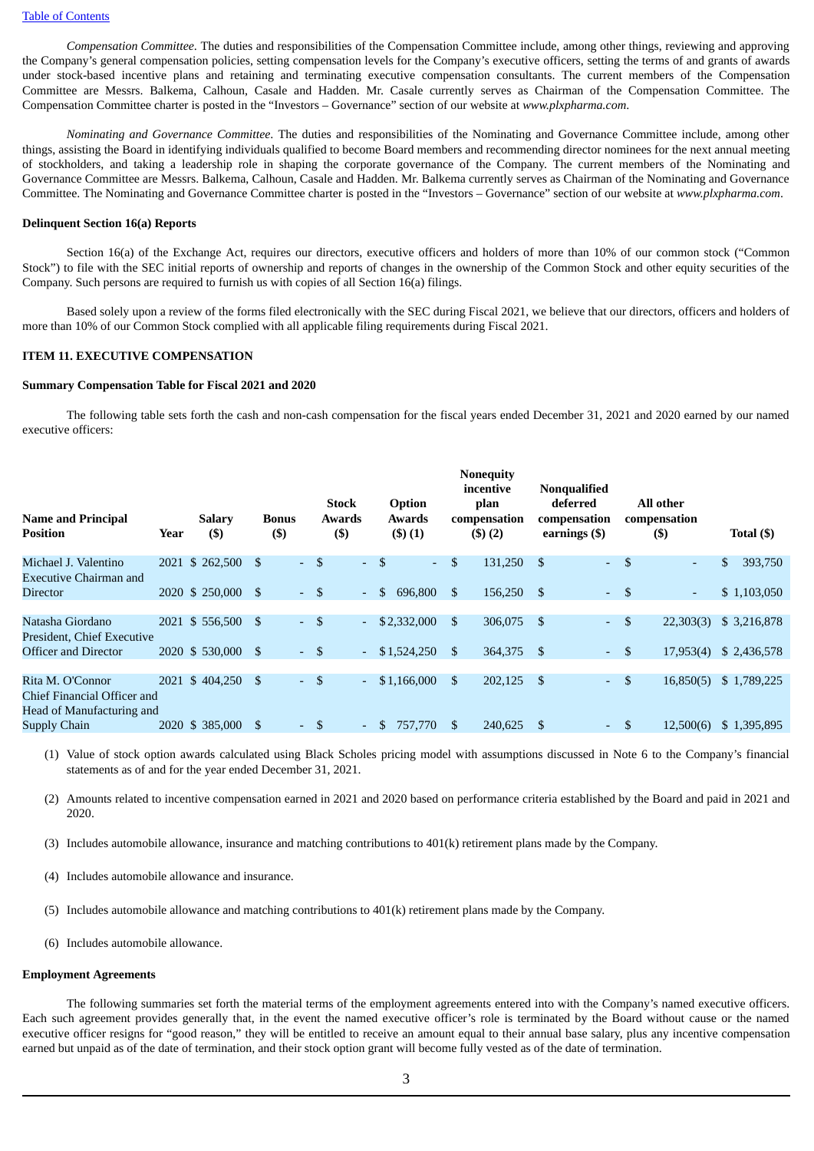*Compensation Committee*. The duties and responsibilities of the Compensation Committee include, among other things, reviewing and approving the Company's general compensation policies, setting compensation levels for the Company's executive officers, setting the terms of and grants of awards under stock-based incentive plans and retaining and terminating executive compensation consultants. The current members of the Compensation Committee are Messrs. Balkema, Calhoun, Casale and Hadden. Mr. Casale currently serves as Chairman of the Compensation Committee. The Compensation Committee charter is posted in the "Investors – Governance" section of our website at *www.plxpharma.com*.

*Nominating and Governance Committee*. The duties and responsibilities of the Nominating and Governance Committee include, among other things, assisting the Board in identifying individuals qualified to become Board members and recommending director nominees for the next annual meeting of stockholders, and taking a leadership role in shaping the corporate governance of the Company. The current members of the Nominating and Governance Committee are Messrs. Balkema, Calhoun, Casale and Hadden. Mr. Balkema currently serves as Chairman of the Nominating and Governance Committee. The Nominating and Governance Committee charter is posted in the "Investors – Governance" section of our website at *www.plxpharma.com*.

## **Delinquent Section 16(a) Reports**

Section 16(a) of the Exchange Act, requires our directors, executive officers and holders of more than 10% of our common stock ("Common Stock") to file with the SEC initial reports of ownership and reports of changes in the ownership of the Common Stock and other equity securities of the Company. Such persons are required to furnish us with copies of all Section 16(a) filings.

Based solely upon a review of the forms filed electronically with the SEC during Fiscal 2021, we believe that our directors, officers and holders of more than 10% of our Common Stock complied with all applicable filing requirements during Fiscal 2021.

#### **ITEM 11. EXECUTIVE COMPENSATION**

#### **Summary Compensation Table for Fiscal 2021 and 2020**

The following table sets forth the cash and non-cash compensation for the fiscal years ended December 31, 2021 and 2020 earned by our named executive officers:

| <b>Name and Principal</b><br><b>Position</b>                                 | Year | <b>Salary</b><br>$($ \$ | <b>Bonus</b><br>$($ \$ | Stock<br>Awards<br>$($ \$) |              | Option<br>Awards<br>(3)(1) |     | <b>Nonequity</b><br>incentive<br>plan<br>compensation<br>(5)(2) | <b>Nonqualified</b><br>deferred<br>compensation<br>earnings (\$) |                            |               | All other<br>compensation<br>$($ \$) | Total (\$)    |
|------------------------------------------------------------------------------|------|-------------------------|------------------------|----------------------------|--------------|----------------------------|-----|-----------------------------------------------------------------|------------------------------------------------------------------|----------------------------|---------------|--------------------------------------|---------------|
| Michael J. Valentino<br><b>Executive Chairman and</b>                        |      | 2021 \$ 262,500         | \$.                    | $-5$                       |              | $-5$<br>$\omega$ .         | \$  | 131,250                                                         | - \$                                                             | $\omega_{\rm c}$           | -\$           | ۰.                                   | \$<br>393,750 |
| <b>Director</b>                                                              |      | 2020 \$ 250,000 \$      |                        | $-5$                       | $\mathbf{r}$ | \$<br>696,800              | \$  | 156,250                                                         | - \$                                                             | $-5$                       |               | $\sim$                               | \$1,103,050   |
| Natasha Giordano<br>President, Chief Executive                               |      | 2021 \$556,500          | <sup>\$</sup>          | $-$ \$                     | ÷,           | \$2,332,000                | \$. | 306,075                                                         | - \$                                                             | $\sim$                     | \$            | 22,303(3)                            | \$3,216,878   |
| Officer and Director                                                         |      | 2020 \$530,000 \$       |                        | $-5$                       | ÷.           | \$1,524,250                | \$  | 364,375 \$                                                      |                                                                  | $-5$                       |               | 17,953(4)                            | \$2,436,578   |
| Rita M. O'Connor<br>Chief Financial Officer and<br>Head of Manufacturing and |      | 2021 \$404,250          | \$                     | $-5$                       | ÷.           | \$1,166,000                | \$  | 202,125                                                         | - \$                                                             | $\mathbf{L}^{\mathcal{A}}$ | \$            | 16,850(5)                            | \$1,789,225   |
| <b>Supply Chain</b>                                                          |      | 2020 \$385,000          | -S                     | $-5$                       | $\sim$       | <sup>\$</sup><br>757,770   | \$  | 240,625                                                         | -S                                                               | $\sim 100$                 | <sup>\$</sup> | 12,500(6)                            | \$1,395,895   |

(1) Value of stock option awards calculated using Black Scholes pricing model with assumptions discussed in Note 6 to the Company's financial statements as of and for the year ended December 31, 2021.

(2) Amounts related to incentive compensation earned in 2021 and 2020 based on performance criteria established by the Board and paid in 2021 and 2020.

- (3) Includes automobile allowance, insurance and matching contributions to 401(k) retirement plans made by the Company.
- (4) Includes automobile allowance and insurance.

(5) Includes automobile allowance and matching contributions to 401(k) retirement plans made by the Company.

(6) Includes automobile allowance.

#### **Employment Agreements**

The following summaries set forth the material terms of the employment agreements entered into with the Company's named executive officers. Each such agreement provides generally that, in the event the named executive officer's role is terminated by the Board without cause or the named executive officer resigns for "good reason," they will be entitled to receive an amount equal to their annual base salary, plus any incentive compensation earned but unpaid as of the date of termination, and their stock option grant will become fully vested as of the date of termination.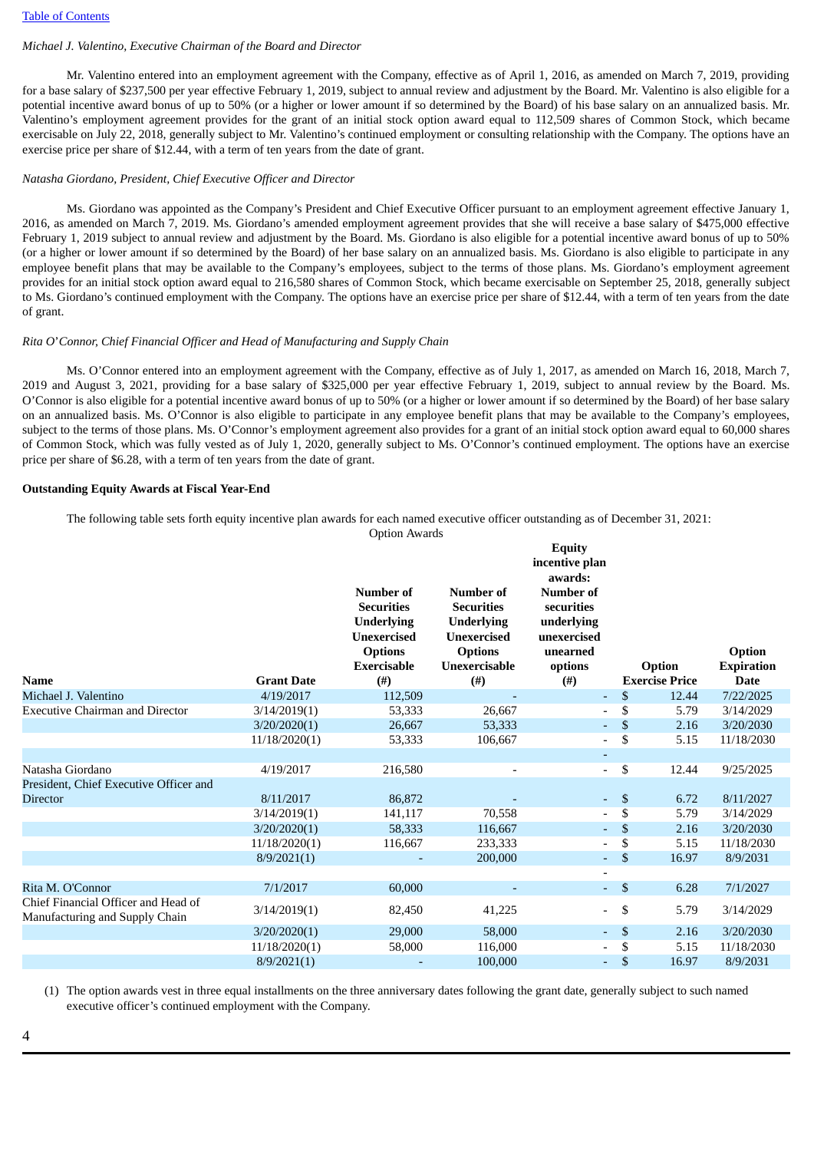## *Michael J. Valentino, Executive Chairman of the Board and Director*

Mr. Valentino entered into an employment agreement with the Company, effective as of April 1, 2016, as amended on March 7, 2019, providing for a base salary of \$237,500 per year effective February 1, 2019, subject to annual review and adjustment by the Board. Mr. Valentino is also eligible for a potential incentive award bonus of up to 50% (or a higher or lower amount if so determined by the Board) of his base salary on an annualized basis. Mr. Valentino's employment agreement provides for the grant of an initial stock option award equal to 112,509 shares of Common Stock, which became exercisable on July 22, 2018, generally subject to Mr. Valentino's continued employment or consulting relationship with the Company. The options have an exercise price per share of \$12.44, with a term of ten years from the date of grant.

#### *Natasha Giordano, President, Chief Executive Officer and Director*

Ms. Giordano was appointed as the Company's President and Chief Executive Officer pursuant to an employment agreement effective January 1, 2016, as amended on March 7, 2019. Ms. Giordano's amended employment agreement provides that she will receive a base salary of \$475,000 effective February 1, 2019 subject to annual review and adjustment by the Board. Ms. Giordano is also eligible for a potential incentive award bonus of up to 50% (or a higher or lower amount if so determined by the Board) of her base salary on an annualized basis. Ms. Giordano is also eligible to participate in any employee benefit plans that may be available to the Company's employees, subject to the terms of those plans. Ms. Giordano's employment agreement provides for an initial stock option award equal to 216,580 shares of Common Stock, which became exercisable on September 25, 2018, generally subject to Ms. Giordano's continued employment with the Company. The options have an exercise price per share of \$12.44, with a term of ten years from the date of grant.

### *Rita O*'*Connor, Chief Financial Officer and Head of Manufacturing and Supply Chain*

Ms. O'Connor entered into an employment agreement with the Company, effective as of July 1, 2017, as amended on March 16, 2018, March 7, 2019 and August 3, 2021, providing for a base salary of \$325,000 per year effective February 1, 2019, subject to annual review by the Board. Ms. O'Connor is also eligible for a potential incentive award bonus of up to 50% (or a higher or lower amount if so determined by the Board) of her base salary on an annualized basis. Ms. O'Connor is also eligible to participate in any employee benefit plans that may be available to the Company's employees, subject to the terms of those plans. Ms. O'Connor's employment agreement also provides for a grant of an initial stock option award equal to 60,000 shares of Common Stock, which was fully vested as of July 1, 2020, generally subject to Ms. O'Connor's continued employment. The options have an exercise price per share of \$6.28, with a term of ten years from the date of grant.

### **Outstanding Equity Awards at Fiscal Year-End**

The following table sets forth equity incentive plan awards for each named executive officer outstanding as of December 31, 2021:

Option Awards

|                                                                       |                   | <b>Number of</b><br><b>Securities</b><br><b>Underlying</b><br><b>Unexercised</b><br><b>Options</b><br><b>Exercisable</b> | Number of<br><b>Securities</b><br><b>Underlying</b><br><b>Unexercised</b><br><b>Options</b><br>Unexercisable | <b>Equity</b><br>incentive plan<br>awards:<br><b>Number of</b><br>securities<br>underlying<br>unexercised<br>unearned<br>options |              | Option                | <b>Option</b><br><b>Expiration</b> |  |
|-----------------------------------------------------------------------|-------------------|--------------------------------------------------------------------------------------------------------------------------|--------------------------------------------------------------------------------------------------------------|----------------------------------------------------------------------------------------------------------------------------------|--------------|-----------------------|------------------------------------|--|
| Name                                                                  | <b>Grant Date</b> | (# )                                                                                                                     | (# )                                                                                                         | $^{(#)}$                                                                                                                         |              | <b>Exercise Price</b> | <b>Date</b>                        |  |
| Michael J. Valentino                                                  | 4/19/2017         | 112,509                                                                                                                  |                                                                                                              |                                                                                                                                  | $\mathbb{S}$ | 12.44                 | 7/22/2025                          |  |
| Executive Chairman and Director                                       | 3/14/2019(1)      | 53,333                                                                                                                   | 26,667                                                                                                       |                                                                                                                                  | \$           | 5.79                  | 3/14/2029                          |  |
|                                                                       | 3/20/2020(1)      | 26,667                                                                                                                   | 53,333                                                                                                       | $\overline{a}$                                                                                                                   | \$           | 2.16                  | 3/20/2030                          |  |
|                                                                       | 11/18/2020(1)     | 53,333                                                                                                                   | 106,667                                                                                                      |                                                                                                                                  | \$           | 5.15                  | 11/18/2030                         |  |
|                                                                       |                   |                                                                                                                          |                                                                                                              |                                                                                                                                  |              |                       |                                    |  |
| Natasha Giordano                                                      | 4/19/2017         | 216,580                                                                                                                  |                                                                                                              |                                                                                                                                  | \$           | 12.44                 | 9/25/2025                          |  |
| President, Chief Executive Officer and                                |                   |                                                                                                                          |                                                                                                              |                                                                                                                                  |              |                       |                                    |  |
| Director                                                              | 8/11/2017         | 86,872                                                                                                                   |                                                                                                              |                                                                                                                                  | \$           | 6.72                  | 8/11/2027                          |  |
|                                                                       | 3/14/2019(1)      | 141,117                                                                                                                  | 70,558                                                                                                       |                                                                                                                                  | \$           | 5.79                  | 3/14/2029                          |  |
|                                                                       | 3/20/2020(1)      | 58,333                                                                                                                   | 116,667                                                                                                      | ۰.                                                                                                                               | \$           | 2.16                  | 3/20/2030                          |  |
|                                                                       | 11/18/2020(1)     | 116,667                                                                                                                  | 233,333                                                                                                      |                                                                                                                                  | \$           | 5.15                  | 11/18/2030                         |  |
|                                                                       | 8/9/2021(1)       |                                                                                                                          | 200,000                                                                                                      | $\omega_{\rm c}$                                                                                                                 | \$           | 16.97                 | 8/9/2031                           |  |
|                                                                       |                   |                                                                                                                          |                                                                                                              |                                                                                                                                  |              |                       |                                    |  |
| Rita M. O'Connor                                                      | 7/1/2017          | 60,000                                                                                                                   |                                                                                                              | $\omega_{\rm{eff}}$                                                                                                              | $\mathbf{s}$ | 6.28                  | 7/1/2027                           |  |
| Chief Financial Officer and Head of<br>Manufacturing and Supply Chain | 3/14/2019(1)      | 82,450                                                                                                                   | 41,225                                                                                                       | $\overline{\phantom{a}}$                                                                                                         | \$           | 5.79                  | 3/14/2029                          |  |
|                                                                       | 3/20/2020(1)      | 29,000                                                                                                                   | 58,000                                                                                                       | $\sim$                                                                                                                           | \$           | 2.16                  | 3/20/2030                          |  |
|                                                                       | 11/18/2020(1)     | 58,000                                                                                                                   | 116,000                                                                                                      |                                                                                                                                  | S            | 5.15                  | 11/18/2030                         |  |
|                                                                       | 8/9/2021(1)       |                                                                                                                          | 100,000                                                                                                      |                                                                                                                                  | $\mathbb{S}$ | 16.97                 | 8/9/2031                           |  |

(1) The option awards vest in three equal installments on the three anniversary dates following the grant date, generally subject to such named executive officer's continued employment with the Company.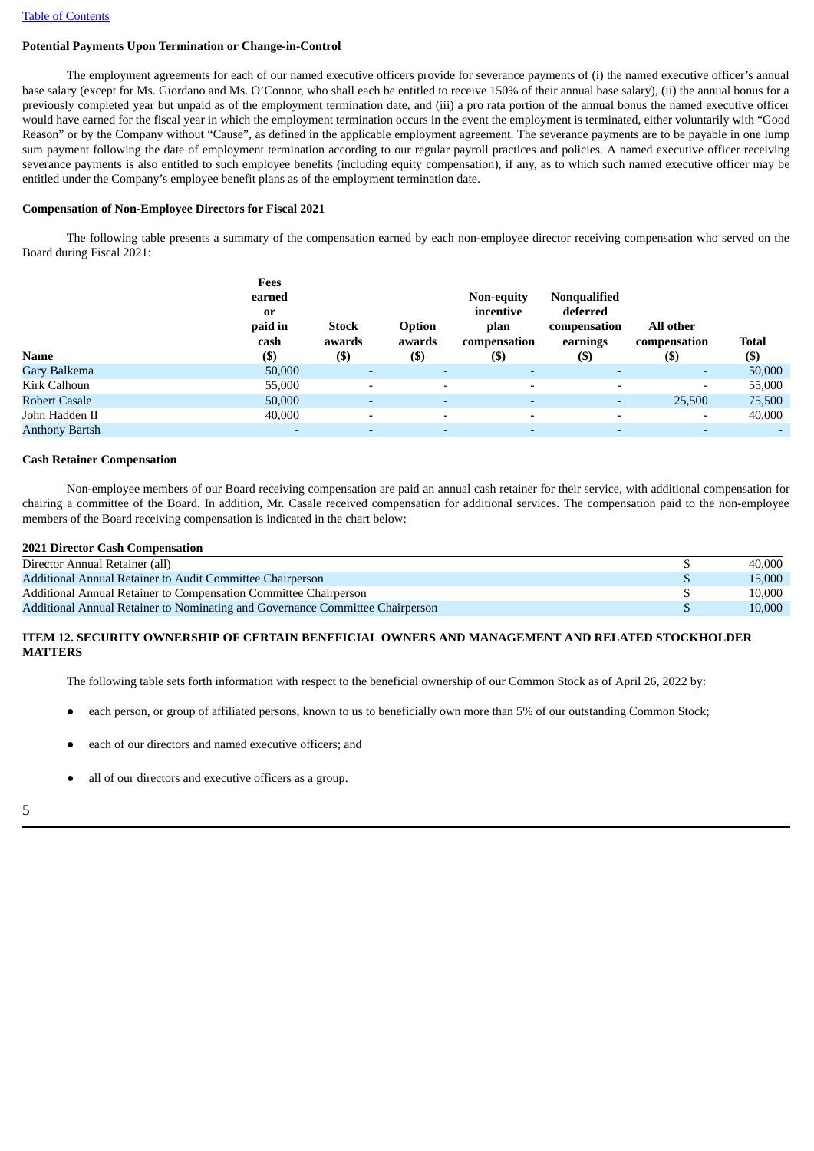# **Potential Payments Upon Termination or Change-in-Control**

The employment agreements for each of our named executive officers provide for severance payments of (i) the named executive officer's annual base salary (except for Ms. Giordano and Ms. O'Connor, who shall each be entitled to receive 150% of their annual base salary), (ii) the annual bonus for a previously completed year but unpaid as of the employment termination date, and (iii) a pro rata portion of the annual bonus the named executive officer would have earned for the fiscal year in which the employment termination occurs in the event the employment is terminated, either voluntarily with "Good Reason" or by the Company without "Cause", as defined in the applicable employment agreement. The severance payments are to be payable in one lump sum payment following the date of employment termination according to our regular payroll practices and policies. A named executive officer receiving severance payments is also entitled to such employee benefits (including equity compensation), if any, as to which such named executive officer may be entitled under the Company's employee benefit plans as of the employment termination date.

## **Compensation of Non-Employee Directors for Fiscal 2021**

The following table presents a summary of the compensation earned by each non-employee director receiving compensation who served on the Board during Fiscal 2021:

|                       | Fees<br>earned<br>0r<br>paid in<br>cash | <b>Stock</b><br>awards   | Option<br>awards         | <b>Non-equity</b><br>incentive<br>plan<br>compensation | <b>Nonqualified</b><br>deferred<br>compensation<br>earnings | All other<br>compensation | <b>Total</b> |
|-----------------------|-----------------------------------------|--------------------------|--------------------------|--------------------------------------------------------|-------------------------------------------------------------|---------------------------|--------------|
| Name                  | $($)$                                   | $($ \$)                  | $($ \$)                  | $($ \$                                                 | $($ \$)                                                     | $($ \$                    | $($ \$)      |
| Gary Balkema          | 50,000                                  | $\overline{\phantom{0}}$ | $\overline{\phantom{a}}$ |                                                        | $\overline{\phantom{a}}$                                    | ۰.                        | 50,000       |
| Kirk Calhoun          | 55,000                                  |                          | $\overline{\phantom{0}}$ |                                                        | $\overline{\phantom{a}}$                                    | $\overline{\phantom{a}}$  | 55,000       |
| <b>Robert Casale</b>  | 50,000                                  | $\overline{\phantom{a}}$ | $\overline{\phantom{0}}$ | ۰                                                      | ٠                                                           | 25,500                    | 75,500       |
| John Hadden II        | 40,000                                  | $\overline{\phantom{0}}$ | $\overline{\phantom{0}}$ | $\overline{\phantom{0}}$                               | $\overline{\phantom{a}}$                                    |                           | 40,000       |
| <b>Anthony Bartsh</b> |                                         |                          |                          |                                                        |                                                             |                           |              |

#### **Cash Retainer Compensation**

Non-employee members of our Board receiving compensation are paid an annual cash retainer for their service, with additional compensation for chairing a committee of the Board. In addition, Mr. Casale received compensation for additional services. The compensation paid to the non-employee members of the Board receiving compensation is indicated in the chart below:

## **2021 Director Cash Compensation**

| Director Annual Retainer (all)                                                | 40,000 |
|-------------------------------------------------------------------------------|--------|
| Additional Annual Retainer to Audit Committee Chairperson                     | 15,000 |
| Additional Annual Retainer to Compensation Committee Chairperson              | 10.000 |
| Additional Annual Retainer to Nominating and Governance Committee Chairperson | 10.000 |

## **ITEM 12. SECURITY OWNERSHIP OF CERTAIN BENEFICIAL OWNERS AND MANAGEMENT AND RELATED STOCKHOLDER MATTERS**

The following table sets forth information with respect to the beneficial ownership of our Common Stock as of April 26, 2022 by:

- each person, or group of affiliated persons, known to us to beneficially own more than 5% of our outstanding Common Stock;
- each of our directors and named executive officers; and
- all of our directors and executive officers as a group.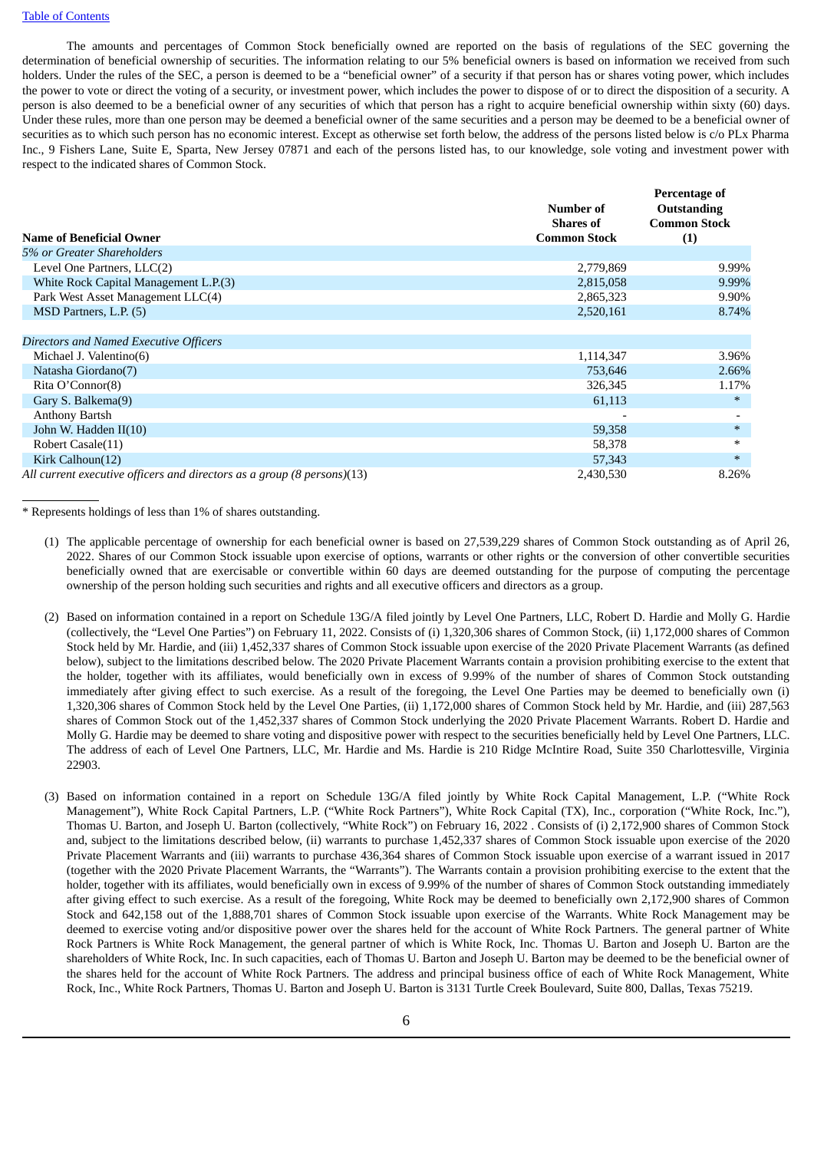#### Table of Contents

The amounts and percentages of Common Stock beneficially owned are reported on the basis of regulations of the SEC governing the determination of beneficial ownership of securities. The information relating to our 5% beneficial owners is based on information we received from such holders. Under the rules of the SEC, a person is deemed to be a "beneficial owner" of a security if that person has or shares voting power, which includes the power to vote or direct the voting of a security, or investment power, which includes the power to dispose of or to direct the disposition of a security. A person is also deemed to be a beneficial owner of any securities of which that person has a right to acquire beneficial ownership within sixty (60) days. Under these rules, more than one person may be deemed a beneficial owner of the same securities and a person may be deemed to be a beneficial owner of securities as to which such person has no economic interest. Except as otherwise set forth below, the address of the persons listed below is c/o PLx Pharma Inc., 9 Fishers Lane, Suite E, Sparta, New Jersey 07871 and each of the persons listed has, to our knowledge, sole voting and investment power with respect to the indicated shares of Common Stock.

| <b>Name of Beneficial Owner</b>                                         | Number of<br><b>Shares of</b><br><b>Common Stock</b> | Percentage of<br><b>Outstanding</b><br><b>Common Stock</b> |
|-------------------------------------------------------------------------|------------------------------------------------------|------------------------------------------------------------|
| 5% or Greater Shareholders                                              |                                                      | (1)                                                        |
|                                                                         |                                                      |                                                            |
| Level One Partners, LLC(2)                                              | 2,779,869                                            | 9.99%                                                      |
| White Rock Capital Management L.P.(3)                                   | 2,815,058                                            | 9.99%                                                      |
| Park West Asset Management LLC(4)                                       | 2,865,323                                            | 9.90%                                                      |
| MSD Partners, L.P. (5)                                                  | 2,520,161                                            | 8.74%                                                      |
|                                                                         |                                                      |                                                            |
| Directors and Named Executive Officers                                  |                                                      |                                                            |
| Michael J. Valentino(6)                                                 | 1,114,347                                            | 3.96%                                                      |
| Natasha Giordano(7)                                                     | 753,646                                              | 2.66%                                                      |
| Rita O'Connor(8)                                                        | 326,345                                              | 1.17%                                                      |
| Gary S. Balkema(9)                                                      | 61,113                                               | $\ast$                                                     |
| <b>Anthony Bartsh</b>                                                   |                                                      |                                                            |
| John W. Hadden II(10)                                                   | 59,358                                               | $\ast$                                                     |
| Robert Casale(11)                                                       | 58,378                                               | $\ast$                                                     |
| Kirk Calhoun(12)                                                        | 57,343                                               | $\ast$                                                     |
| All current executive officers and directors as a group (8 persons)(13) | 2,430,530                                            | 8.26%                                                      |

\* Represents holdings of less than 1% of shares outstanding.

- (1) The applicable percentage of ownership for each beneficial owner is based on 27,539,229 shares of Common Stock outstanding as of April 26, 2022. Shares of our Common Stock issuable upon exercise of options, warrants or other rights or the conversion of other convertible securities beneficially owned that are exercisable or convertible within 60 days are deemed outstanding for the purpose of computing the percentage ownership of the person holding such securities and rights and all executive officers and directors as a group.
- (2) Based on information contained in a report on Schedule 13G/A filed jointly by Level One Partners, LLC, Robert D. Hardie and Molly G. Hardie (collectively, the "Level One Parties") on February 11, 2022. Consists of (i) 1,320,306 shares of Common Stock, (ii) 1,172,000 shares of Common Stock held by Mr. Hardie, and (iii) 1,452,337 shares of Common Stock issuable upon exercise of the 2020 Private Placement Warrants (as defined below), subject to the limitations described below. The 2020 Private Placement Warrants contain a provision prohibiting exercise to the extent that the holder, together with its affiliates, would beneficially own in excess of 9.99% of the number of shares of Common Stock outstanding immediately after giving effect to such exercise. As a result of the foregoing, the Level One Parties may be deemed to beneficially own (i) 1,320,306 shares of Common Stock held by the Level One Parties, (ii) 1,172,000 shares of Common Stock held by Mr. Hardie, and (iii) 287,563 shares of Common Stock out of the 1,452,337 shares of Common Stock underlying the 2020 Private Placement Warrants. Robert D. Hardie and Molly G. Hardie may be deemed to share voting and dispositive power with respect to the securities beneficially held by Level One Partners, LLC. The address of each of Level One Partners, LLC, Mr. Hardie and Ms. Hardie is 210 Ridge McIntire Road, Suite 350 Charlottesville, Virginia 22903.
- (3) Based on information contained in a report on Schedule 13G/A filed jointly by White Rock Capital Management, L.P. ("White Rock Management"), White Rock Capital Partners, L.P. ("White Rock Partners"), White Rock Capital (TX), Inc., corporation ("White Rock, Inc."), Thomas U. Barton, and Joseph U. Barton (collectively, "White Rock") on February 16, 2022 . Consists of (i) 2,172,900 shares of Common Stock and, subject to the limitations described below, (ii) warrants to purchase 1,452,337 shares of Common Stock issuable upon exercise of the 2020 Private Placement Warrants and (iii) warrants to purchase 436,364 shares of Common Stock issuable upon exercise of a warrant issued in 2017 (together with the 2020 Private Placement Warrants, the "Warrants"). The Warrants contain a provision prohibiting exercise to the extent that the holder, together with its affiliates, would beneficially own in excess of 9.99% of the number of shares of Common Stock outstanding immediately after giving effect to such exercise. As a result of the foregoing, White Rock may be deemed to beneficially own 2,172,900 shares of Common Stock and 642,158 out of the 1,888,701 shares of Common Stock issuable upon exercise of the Warrants. White Rock Management may be deemed to exercise voting and/or dispositive power over the shares held for the account of White Rock Partners. The general partner of White Rock Partners is White Rock Management, the general partner of which is White Rock, Inc. Thomas U. Barton and Joseph U. Barton are the shareholders of White Rock, Inc. In such capacities, each of Thomas U. Barton and Joseph U. Barton may be deemed to be the beneficial owner of the shares held for the account of White Rock Partners. The address and principal business office of each of White Rock Management, White Rock, Inc., White Rock Partners, Thomas U. Barton and Joseph U. Barton is 3131 Turtle Creek Boulevard, Suite 800, Dallas, Texas 75219.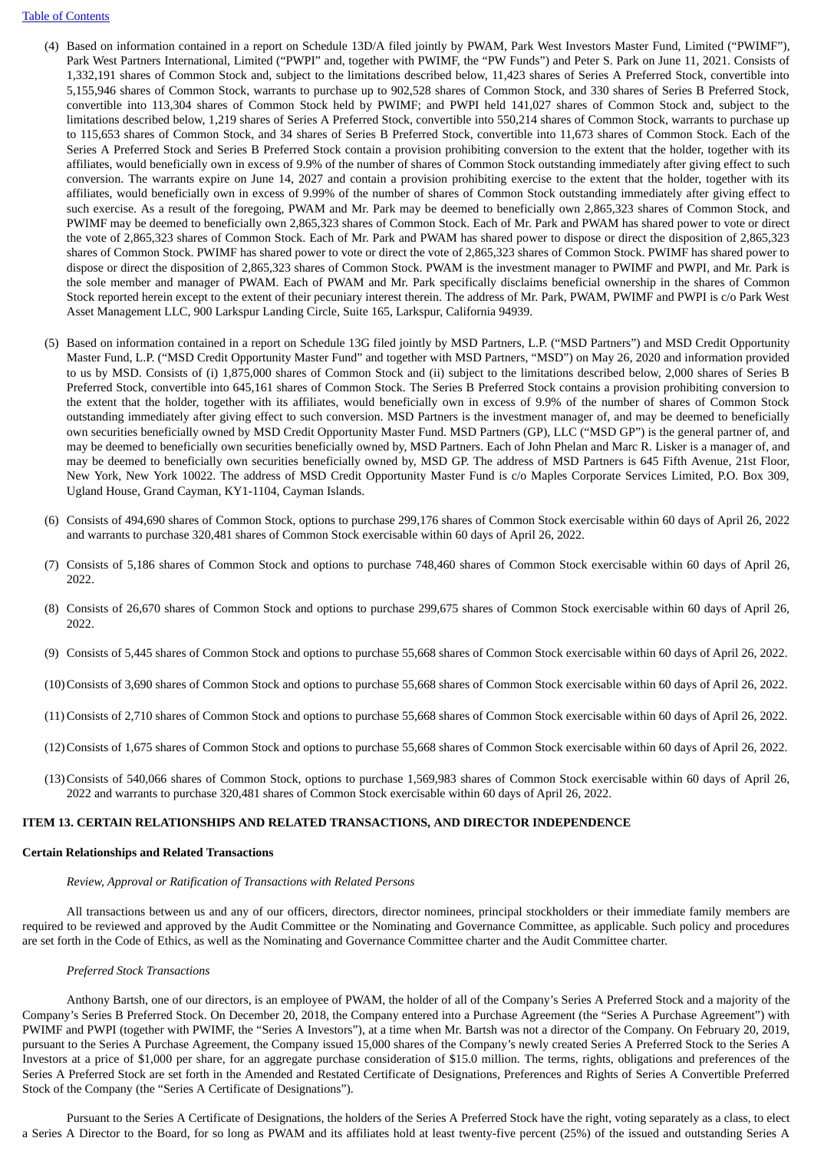#### Table of Contents

- (4) Based on information contained in a report on Schedule 13D/A filed jointly by PWAM, Park West Investors Master Fund, Limited ("PWIMF"), Park West Partners International, Limited ("PWPI" and, together with PWIMF, the "PW Funds") and Peter S. Park on June 11, 2021. Consists of 1,332,191 shares of Common Stock and, subject to the limitations described below, 11,423 shares of Series A Preferred Stock, convertible into 5,155,946 shares of Common Stock, warrants to purchase up to 902,528 shares of Common Stock, and 330 shares of Series B Preferred Stock, convertible into 113,304 shares of Common Stock held by PWIMF; and PWPI held 141,027 shares of Common Stock and, subject to the limitations described below, 1,219 shares of Series A Preferred Stock, convertible into 550,214 shares of Common Stock, warrants to purchase up to 115,653 shares of Common Stock, and 34 shares of Series B Preferred Stock, convertible into 11,673 shares of Common Stock. Each of the Series A Preferred Stock and Series B Preferred Stock contain a provision prohibiting conversion to the extent that the holder, together with its affiliates, would beneficially own in excess of 9.9% of the number of shares of Common Stock outstanding immediately after giving effect to such conversion. The warrants expire on June 14, 2027 and contain a provision prohibiting exercise to the extent that the holder, together with its affiliates, would beneficially own in excess of 9.99% of the number of shares of Common Stock outstanding immediately after giving effect to such exercise. As a result of the foregoing, PWAM and Mr. Park may be deemed to beneficially own 2,865,323 shares of Common Stock, and PWIMF may be deemed to beneficially own 2,865,323 shares of Common Stock. Each of Mr. Park and PWAM has shared power to vote or direct the vote of 2,865,323 shares of Common Stock. Each of Mr. Park and PWAM has shared power to dispose or direct the disposition of 2,865,323 shares of Common Stock. PWIMF has shared power to vote or direct the vote of 2,865,323 shares of Common Stock. PWIMF has shared power to dispose or direct the disposition of 2,865,323 shares of Common Stock. PWAM is the investment manager to PWIMF and PWPI, and Mr. Park is the sole member and manager of PWAM. Each of PWAM and Mr. Park specifically disclaims beneficial ownership in the shares of Common Stock reported herein except to the extent of their pecuniary interest therein. The address of Mr. Park, PWAM, PWIMF and PWPI is c/o Park West Asset Management LLC, 900 Larkspur Landing Circle, Suite 165, Larkspur, California 94939.
- (5) Based on information contained in a report on Schedule 13G filed jointly by MSD Partners, L.P. ("MSD Partners") and MSD Credit Opportunity Master Fund, L.P. ("MSD Credit Opportunity Master Fund" and together with MSD Partners, "MSD") on May 26, 2020 and information provided to us by MSD. Consists of (i) 1,875,000 shares of Common Stock and (ii) subject to the limitations described below, 2,000 shares of Series B Preferred Stock, convertible into 645,161 shares of Common Stock. The Series B Preferred Stock contains a provision prohibiting conversion to the extent that the holder, together with its affiliates, would beneficially own in excess of 9.9% of the number of shares of Common Stock outstanding immediately after giving effect to such conversion. MSD Partners is the investment manager of, and may be deemed to beneficially own securities beneficially owned by MSD Credit Opportunity Master Fund. MSD Partners (GP), LLC ("MSD GP") is the general partner of, and may be deemed to beneficially own securities beneficially owned by, MSD Partners. Each of John Phelan and Marc R. Lisker is a manager of, and may be deemed to beneficially own securities beneficially owned by, MSD GP. The address of MSD Partners is 645 Fifth Avenue, 21st Floor, New York, New York 10022. The address of MSD Credit Opportunity Master Fund is c/o Maples Corporate Services Limited, P.O. Box 309, Ugland House, Grand Cayman, KY1-1104, Cayman Islands.
- (6) Consists of 494,690 shares of Common Stock, options to purchase 299,176 shares of Common Stock exercisable within 60 days of April 26, 2022 and warrants to purchase 320,481 shares of Common Stock exercisable within 60 days of April 26, 2022.
- (7) Consists of 5,186 shares of Common Stock and options to purchase 748,460 shares of Common Stock exercisable within 60 days of April 26, 2022.
- (8) Consists of 26,670 shares of Common Stock and options to purchase 299,675 shares of Common Stock exercisable within 60 days of April 26, 2022.
- (9) Consists of 5,445 shares of Common Stock and options to purchase 55,668 shares of Common Stock exercisable within 60 days of April 26, 2022.
- (10)Consists of 3,690 shares of Common Stock and options to purchase 55,668 shares of Common Stock exercisable within 60 days of April 26, 2022.
- (11) Consists of 2,710 shares of Common Stock and options to purchase 55,668 shares of Common Stock exercisable within 60 days of April 26, 2022.
- (12)Consists of 1,675 shares of Common Stock and options to purchase 55,668 shares of Common Stock exercisable within 60 days of April 26, 2022.
- (13)Consists of 540,066 shares of Common Stock, options to purchase 1,569,983 shares of Common Stock exercisable within 60 days of April 26, 2022 and warrants to purchase 320,481 shares of Common Stock exercisable within 60 days of April 26, 2022.

#### **ITEM 13. CERTAIN RELATIONSHIPS AND RELATED TRANSACTIONS, AND DIRECTOR INDEPENDENCE**

#### **Certain Relationships and Related Transactions**

#### *Review, Approval or Ratification of Transactions with Related Persons*

All transactions between us and any of our officers, directors, director nominees, principal stockholders or their immediate family members are required to be reviewed and approved by the Audit Committee or the Nominating and Governance Committee, as applicable. Such policy and procedures are set forth in the Code of Ethics, as well as the Nominating and Governance Committee charter and the Audit Committee charter.

#### *Preferred Stock Transactions*

Anthony Bartsh, one of our directors, is an employee of PWAM, the holder of all of the Company's Series A Preferred Stock and a majority of the Company's Series B Preferred Stock. On December 20, 2018, the Company entered into a Purchase Agreement (the "Series A Purchase Agreement") with PWIMF and PWPI (together with PWIMF, the "Series A Investors"), at a time when Mr. Bartsh was not a director of the Company. On February 20, 2019, pursuant to the Series A Purchase Agreement, the Company issued 15,000 shares of the Company's newly created Series A Preferred Stock to the Series A Investors at a price of \$1,000 per share, for an aggregate purchase consideration of \$15.0 million. The terms, rights, obligations and preferences of the Series A Preferred Stock are set forth in the Amended and Restated Certificate of Designations, Preferences and Rights of Series A Convertible Preferred Stock of the Company (the "Series A Certificate of Designations").

Pursuant to the Series A Certificate of Designations, the holders of the Series A Preferred Stock have the right, voting separately as a class, to elect a Series A Director to the Board, for so long as PWAM and its affiliates hold at least twenty-five percent (25%) of the issued and outstanding Series A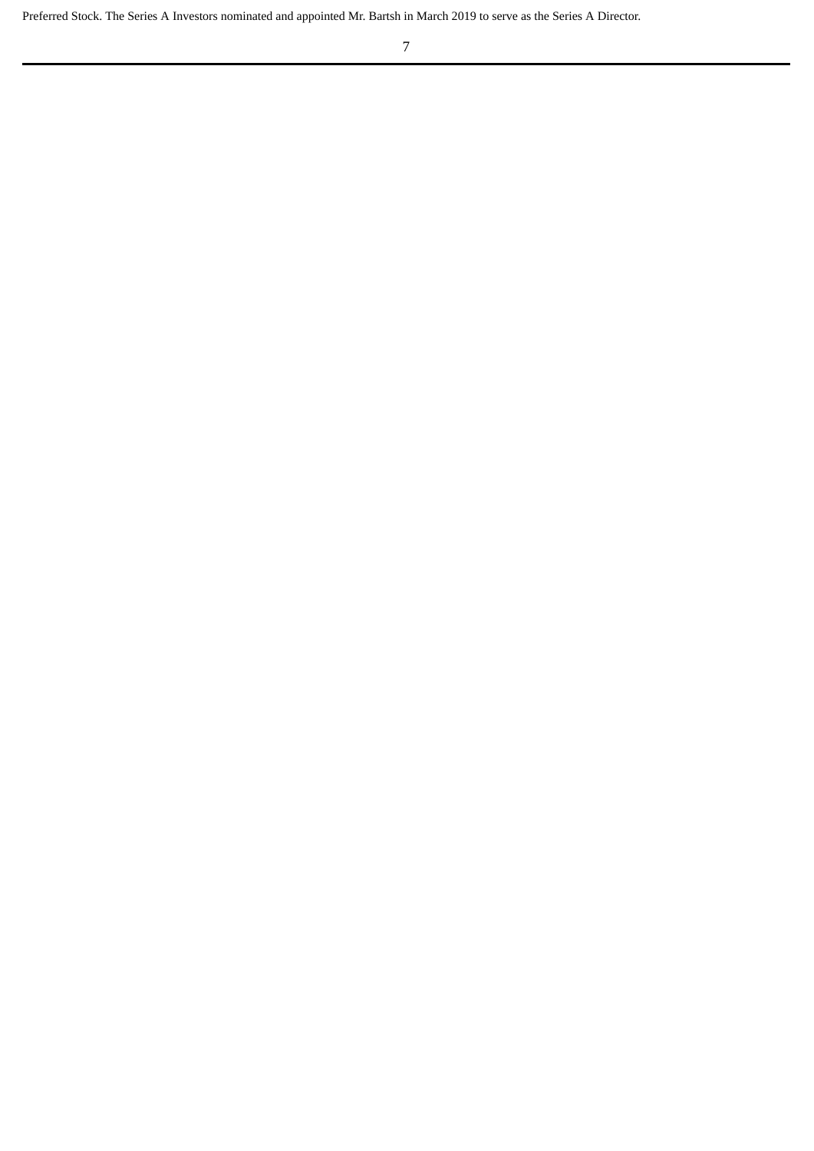Preferred Stock. The Series A Investors nominated and appointed Mr. Bartsh in March 2019 to serve as the Series A Director.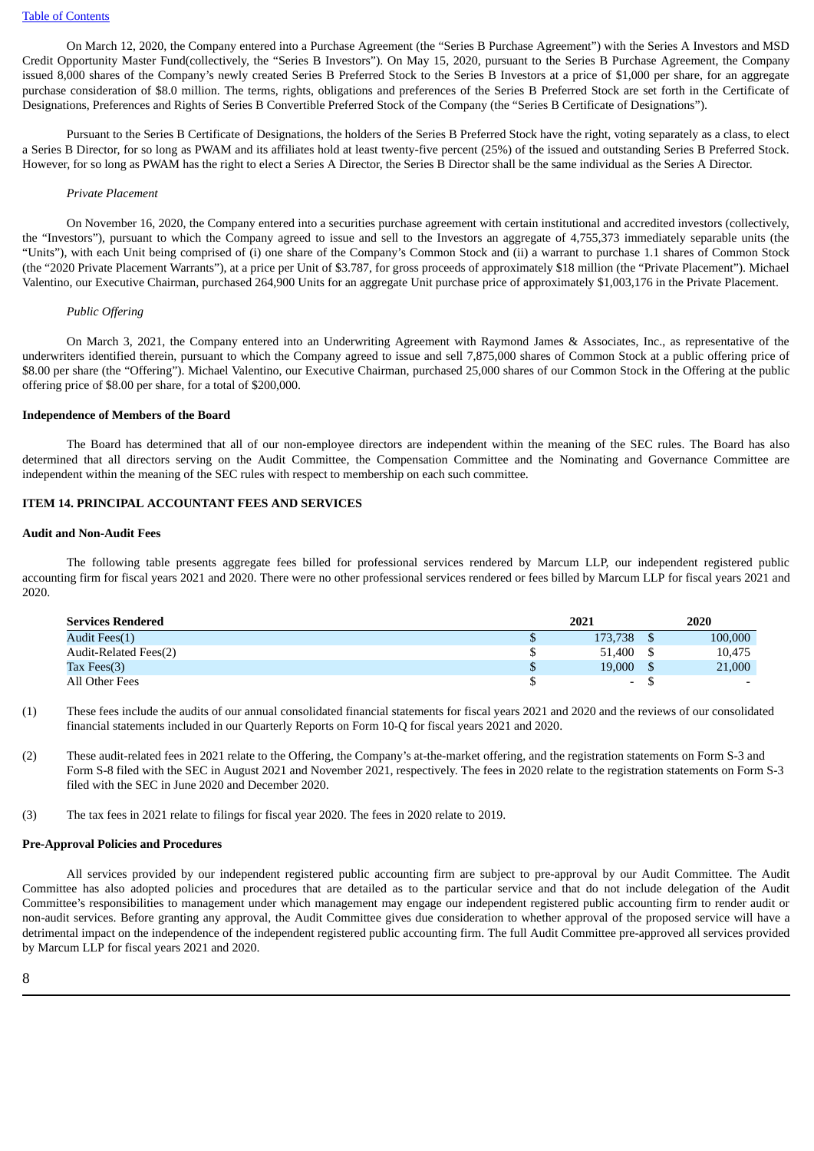On March 12, 2020, the Company entered into a Purchase Agreement (the "Series B Purchase Agreement") with the Series A Investors and MSD Credit Opportunity Master Fund(collectively, the "Series B Investors"). On May 15, 2020, pursuant to the Series B Purchase Agreement, the Company issued 8,000 shares of the Company's newly created Series B Preferred Stock to the Series B Investors at a price of \$1,000 per share, for an aggregate purchase consideration of \$8.0 million. The terms, rights, obligations and preferences of the Series B Preferred Stock are set forth in the Certificate of Designations, Preferences and Rights of Series B Convertible Preferred Stock of the Company (the "Series B Certificate of Designations").

Pursuant to the Series B Certificate of Designations, the holders of the Series B Preferred Stock have the right, voting separately as a class, to elect a Series B Director, for so long as PWAM and its affiliates hold at least twenty-five percent (25%) of the issued and outstanding Series B Preferred Stock. However, for so long as PWAM has the right to elect a Series A Director, the Series B Director shall be the same individual as the Series A Director.

#### *Private Placement*

On November 16, 2020, the Company entered into a securities purchase agreement with certain institutional and accredited investors (collectively, the "Investors"), pursuant to which the Company agreed to issue and sell to the Investors an aggregate of 4,755,373 immediately separable units (the "Units"), with each Unit being comprised of (i) one share of the Company's Common Stock and (ii) a warrant to purchase 1.1 shares of Common Stock (the "2020 Private Placement Warrants"), at a price per Unit of \$3.787, for gross proceeds of approximately \$18 million (the "Private Placement"). Michael Valentino, our Executive Chairman, purchased 264,900 Units for an aggregate Unit purchase price of approximately \$1,003,176 in the Private Placement.

#### *Public Offering*

On March 3, 2021, the Company entered into an Underwriting Agreement with Raymond James & Associates, Inc., as representative of the underwriters identified therein, pursuant to which the Company agreed to issue and sell 7,875,000 shares of Common Stock at a public offering price of \$8.00 per share (the "Offering"). Michael Valentino, our Executive Chairman, purchased 25,000 shares of our Common Stock in the Offering at the public offering price of \$8.00 per share, for a total of \$200,000.

## **Independence of Members of the Board**

The Board has determined that all of our non-employee directors are independent within the meaning of the SEC rules. The Board has also determined that all directors serving on the Audit Committee, the Compensation Committee and the Nominating and Governance Committee are independent within the meaning of the SEC rules with respect to membership on each such committee.

## **ITEM 14. PRINCIPAL ACCOUNTANT FEES AND SERVICES**

## **Audit and Non-Audit Fees**

The following table presents aggregate fees billed for professional services rendered by Marcum LLP, our independent registered public accounting firm for fiscal years 2021 and 2020. There were no other professional services rendered or fees billed by Marcum LLP for fiscal years 2021 and 2020.

| <b>Services Rendered</b> | 2021                     | 2020    |
|--------------------------|--------------------------|---------|
| Audit Fees(1)            | 173,738                  | 100,000 |
| Audit-Related Fees(2)    | 51.400                   | 10,475  |
| Tax Fees(3)              | \$<br>19,000             | 21,000  |
| All Other Fees           | $\overline{\phantom{a}}$ |         |

- (1) These fees include the audits of our annual consolidated financial statements for fiscal years 2021 and 2020 and the reviews of our consolidated financial statements included in our Quarterly Reports on Form 10-Q for fiscal years 2021 and 2020.
- (2) These audit-related fees in 2021 relate to the Offering, the Company's at-the-market offering, and the registration statements on Form S-3 and Form S-8 filed with the SEC in August 2021 and November 2021, respectively. The fees in 2020 relate to the registration statements on Form S-3 filed with the SEC in June 2020 and December 2020.
- (3) The tax fees in 2021 relate to filings for fiscal year 2020. The fees in 2020 relate to 2019.

#### **Pre-Approval Policies and Procedures**

All services provided by our independent registered public accounting firm are subject to pre-approval by our Audit Committee. The Audit Committee has also adopted policies and procedures that are detailed as to the particular service and that do not include delegation of the Audit Committee's responsibilities to management under which management may engage our independent registered public accounting firm to render audit or non-audit services. Before granting any approval, the Audit Committee gives due consideration to whether approval of the proposed service will have a detrimental impact on the independence of the independent registered public accounting firm. The full Audit Committee pre-approved all services provided by Marcum LLP for fiscal years 2021 and 2020.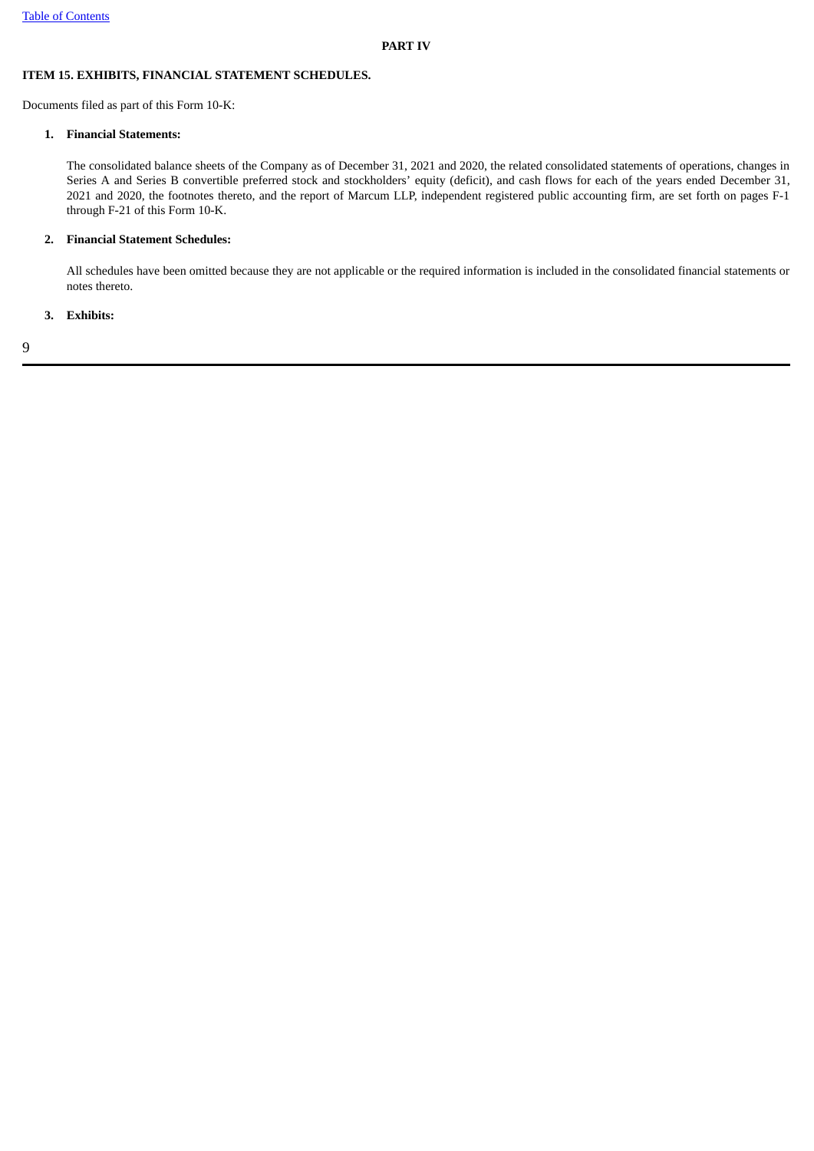## **ITEM 15. EXHIBITS, FINANCIAL STATEMENT SCHEDULES.**

Documents filed as part of this Form 10-K:

## **1. Financial Statements:**

The consolidated balance sheets of the Company as of December 31, 2021 and 2020, the related consolidated statements of operations, changes in Series A and Series B convertible preferred stock and stockholders' equity (deficit), and cash flows for each of the years ended December 31, 2021 and 2020, the footnotes thereto, and the report of Marcum LLP, independent registered public accounting firm, are set forth on pages F-1 through F-21 of this Form 10-K.

## **2. Financial Statement Schedules:**

All schedules have been omitted because they are not applicable or the required information is included in the consolidated financial statements or notes thereto.

## **3. Exhibits:**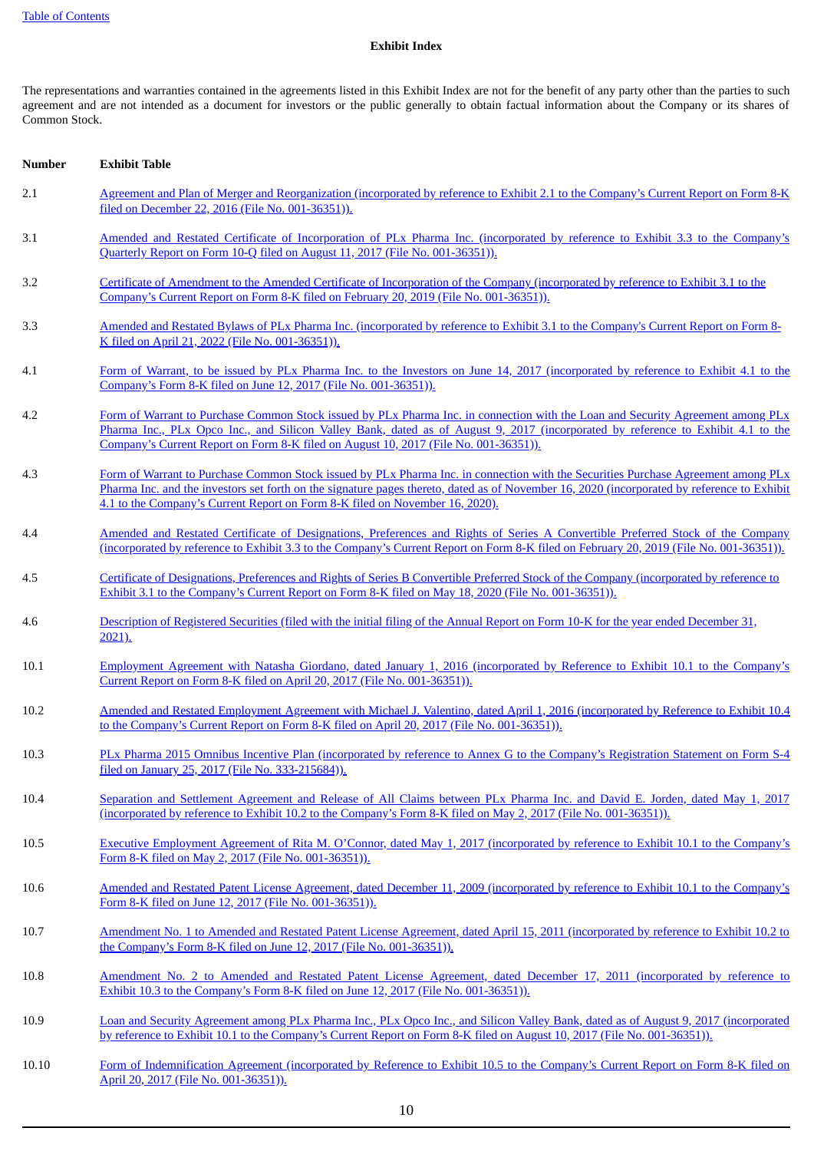## **Exhibit Index**

The representations and warranties contained in the agreements listed in this Exhibit Index are not for the benefit of any party other than the parties to such agreement and are not intended as a document for investors or the public generally to obtain factual information about the Company or its shares of Common Stock.

| <b>Number</b> | <b>Exhibit Table</b>                                                                                                                                                                                                                                                                                                                                             |
|---------------|------------------------------------------------------------------------------------------------------------------------------------------------------------------------------------------------------------------------------------------------------------------------------------------------------------------------------------------------------------------|
| 2.1           | Agreement and Plan of Merger and Reorganization (incorporated by reference to Exhibit 2.1 to the Company's Current Report on Form 8-K<br>filed on December 22, 2016 (File No. 001-36351)).                                                                                                                                                                       |
| 3.1           | Amended and Restated Certificate of Incorporation of PLx Pharma Inc. (incorporated by reference to Exhibit 3.3 to the Company's<br>Quarterly Report on Form 10-Q filed on August 11, 2017 (File No. 001-36351)).                                                                                                                                                 |
| 3.2           | Certificate of Amendment to the Amended Certificate of Incorporation of the Company (incorporated by reference to Exhibit 3.1 to the<br>Company's Current Report on Form 8-K filed on February 20, 2019 (File No. 001-36351)).                                                                                                                                   |
| 3.3           | Amended and Restated Bylaws of PLx Pharma Inc. (incorporated by reference to Exhibit 3.1 to the Company's Current Report on Form 8-<br>K filed on April 21, 2022 (File No. 001-36351)).                                                                                                                                                                          |
| 4.1           | Form of Warrant, to be issued by PLx Pharma Inc. to the Investors on June 14, 2017 (incorporated by reference to Exhibit 4.1 to the<br>Company's Form 8-K filed on June 12, 2017 (File No. 001-36351)).                                                                                                                                                          |
| 4.2           | Form of Warrant to Purchase Common Stock issued by PLx Pharma Inc. in connection with the Loan and Security Agreement among PLx<br>Pharma Inc., PLx Opco Inc., and Silicon Valley Bank, dated as of August 9, 2017 (incorporated by reference to Exhibit 4.1 to the<br>Company's Current Report on Form 8-K filed on August 10, 2017 (File No. 001-36351)).      |
| 4.3           | Form of Warrant to Purchase Common Stock issued by PLx Pharma Inc. in connection with the Securities Purchase Agreement among PLx<br>Pharma Inc. and the investors set forth on the signature pages thereto, dated as of November 16, 2020 (incorporated by reference to Exhibit<br>4.1 to the Company's Current Report on Form 8-K filed on November 16, 2020). |
| 4.4           | Amended and Restated Certificate of Designations, Preferences and Rights of Series A Convertible Preferred Stock of the Company<br>(incorporated by reference to Exhibit 3.3 to the Company's Current Report on Form 8-K filed on February 20, 2019 (File No. 001-36351)).                                                                                       |
| 4.5           | Certificate of Designations, Preferences and Rights of Series B Convertible Preferred Stock of the Company (incorporated by reference to<br>Exhibit 3.1 to the Company's Current Report on Form 8-K filed on May 18, 2020 (File No. 001-36351)).                                                                                                                 |
| 4.6           | Description of Registered Securities (filed with the initial filing of the Annual Report on Form 10-K for the year ended December 31,<br>2021).                                                                                                                                                                                                                  |
| 10.1          | Employment Agreement with Natasha Giordano, dated January 1, 2016 (incorporated by Reference to Exhibit 10.1 to the Company's<br>Current Report on Form 8-K filed on April 20, 2017 (File No. 001-36351)).                                                                                                                                                       |
| 10.2          | Amended and Restated Employment Agreement with Michael J. Valentino, dated April 1, 2016 (incorporated by Reference to Exhibit 10.4<br>to the Company's Current Report on Form 8-K filed on April 20, 2017 (File No. 001-36351)).                                                                                                                                |
| 10.3          | PLx Pharma 2015 Omnibus Incentive Plan (incorporated by reference to Annex G to the Company's Registration Statement on Form S-4<br>filed on January 25, 2017 (File No. 333-215684)).                                                                                                                                                                            |
| 10.4          | Separation and Settlement Agreement and Release of All Claims between PLx Pharma Inc. and David E. Jorden, dated May 1, 2017<br>(incorporated by reference to Exhibit 10.2 to the Company's Form 8-K filed on May 2, 2017 (File No. 001-36351)).                                                                                                                 |
| 10.5          | Executive Employment Agreement of Rita M. O'Connor, dated May 1, 2017 (incorporated by reference to Exhibit 10.1 to the Company's<br>Form 8-K filed on May 2, 2017 (File No. 001-36351)).                                                                                                                                                                        |
| 10.6          | Amended and Restated Patent License Agreement, dated December 11, 2009 (incorporated by reference to Exhibit 10.1 to the Company's<br>Form 8-K filed on June 12, 2017 (File No. 001-36351)).                                                                                                                                                                     |
| 10.7          | Amendment No. 1 to Amended and Restated Patent License Agreement, dated April 15, 2011 (incorporated by reference to Exhibit 10.2 to<br>the Company's Form 8-K filed on June 12, 2017 (File No. 001-36351)).                                                                                                                                                     |
| 10.8          | Amendment No. 2 to Amended and Restated Patent License Agreement, dated December 17, 2011 (incorporated by reference to<br>Exhibit 10.3 to the Company's Form 8-K filed on June 12, 2017 (File No. 001-36351)).                                                                                                                                                  |
| 10.9          | Loan and Security Agreement among PLx Pharma Inc., PLx Opco Inc., and Silicon Valley Bank, dated as of August 9, 2017 (incorporated<br>by reference to Exhibit 10.1 to the Company's Current Report on Form 8-K filed on August 10, 2017 (File No. 001-36351)).                                                                                                  |
| 10.10         | Form of Indemnification Agreement (incorporated by Reference to Exhibit 10.5 to the Company's Current Report on Form 8-K filed on<br>April 20, 2017 (File No. 001-36351)).                                                                                                                                                                                       |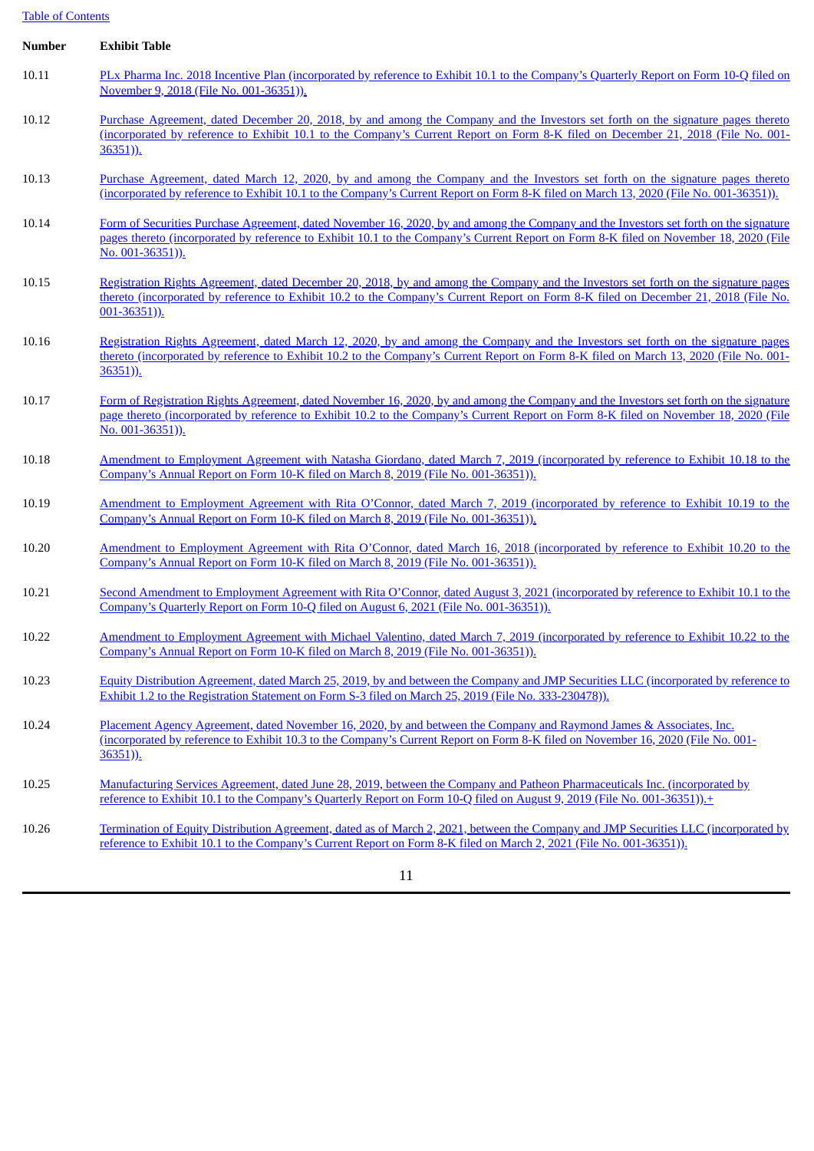# Table of Contents

| <b>Number</b> | <b>Exhibit Table</b>                                                                                                                                                                                                                                                                               |
|---------------|----------------------------------------------------------------------------------------------------------------------------------------------------------------------------------------------------------------------------------------------------------------------------------------------------|
| 10.11         | PLx Pharma Inc. 2018 Incentive Plan (incorporated by reference to Exhibit 10.1 to the Company's Quarterly Report on Form 10-Q filed on<br>November 9, 2018 (File No. 001-36351)).                                                                                                                  |
| 10.12         | Purchase Agreement, dated December 20, 2018, by and among the Company and the Investors set forth on the signature pages thereto<br>(incorporated by reference to Exhibit 10.1 to the Company's Current Report on Form 8-K filed on December 21, 2018 (File No. 001-<br>$36351)$ ).                |
| 10.13         | Purchase Agreement, dated March 12, 2020, by and among the Company and the Investors set forth on the signature pages thereto<br>(incorporated by reference to Exhibit 10.1 to the Company's Current Report on Form 8-K filed on March 13, 2020 (File No. 001-36351)).                             |
| 10.14         | Form of Securities Purchase Agreement, dated November 16, 2020, by and among the Company and the Investors set forth on the signature<br>pages thereto (incorporated by reference to Exhibit 10.1 to the Company's Current Report on Form 8-K filed on November 18, 2020 (File<br>No. 001-36351)). |
| 10.15         | Registration Rights Agreement, dated December 20, 2018, by and among the Company and the Investors set forth on the signature pages<br>thereto (incorporated by reference to Exhibit 10.2 to the Company's Current Report on Form 8-K filed on December 21, 2018 (File No.<br>$001 - 36351)$ .     |
| 10.16         | Registration Rights Agreement, dated March 12, 2020, by and among the Company and the Investors set forth on the signature pages<br>thereto (incorporated by reference to Exhibit 10.2 to the Company's Current Report on Form 8-K filed on March 13, 2020 (File No. 001-<br>36351)).              |
| 10.17         | Form of Registration Rights Agreement, dated November 16, 2020, by and among the Company and the Investors set forth on the signature<br>page thereto (incorporated by reference to Exhibit 10.2 to the Company's Current Report on Form 8-K filed on November 18, 2020 (File<br>No. 001-36351)).  |
| 10.18         | Amendment to Employment Agreement with Natasha Giordano, dated March 7, 2019 (incorporated by reference to Exhibit 10.18 to the<br>Company's Annual Report on Form 10-K filed on March 8, 2019 (File No. 001-36351)).                                                                              |
| 10.19         | Amendment to Employment Agreement with Rita O'Connor, dated March 7, 2019 (incorporated by reference to Exhibit 10.19 to the<br>Company's Annual Report on Form 10-K filed on March 8, 2019 (File No. 001-36351)).                                                                                 |
| 10.20         | Amendment to Employment Agreement with Rita O'Connor, dated March 16, 2018 (incorporated by reference to Exhibit 10.20 to the<br>Company's Annual Report on Form 10-K filed on March 8, 2019 (File No. 001-36351)).                                                                                |
| 10.21         | Second Amendment to Employment Agreement with Rita O'Connor, dated August 3, 2021 (incorporated by reference to Exhibit 10.1 to the<br>Company's Quarterly Report on Form 10-Q filed on August 6, 2021 (File No. 001-36351)).                                                                      |
| 10.22         | Amendment to Employment Agreement with Michael Valentino, dated March 7, 2019 (incorporated by reference to Exhibit 10.22 to the<br>Company's Annual Report on Form 10-K filed on March 8, 2019 (File No. 001-36351)).                                                                             |
| 10.23         | Equity Distribution Agreement, dated March 25, 2019, by and between the Company and JMP Securities LLC (incorporated by reference to<br>Exhibit 1.2 to the Registration Statement on Form S-3 filed on March 25, 2019 (File No. 333-230478)).                                                      |
| 10.24         | Placement Agency Agreement, dated November 16, 2020, by and between the Company and Raymond James & Associates, Inc.<br>(incorporated by reference to Exhibit 10.3 to the Company's Current Report on Form 8-K filed on November 16, 2020 (File No. 001-<br>$36351)$ ).                            |
| 10.25         | Manufacturing Services Agreement, dated June 28, 2019, between the Company and Patheon Pharmaceuticals Inc. (incorporated by<br>reference to Exhibit 10.1 to the Company's Quarterly Report on Form 10-Q filed on August 9, 2019 (File No. 001-36351)). <sup>+</sup>                               |
| 10.26         | Termination of Equity Distribution Agreement, dated as of March 2, 2021, between the Company and JMP Securities LLC (incorporated by<br>reference to Exhibit 10.1 to the Company's Current Report on Form 8-K filed on March 2, 2021 (File No. 001-36351)).                                        |
|               | 11                                                                                                                                                                                                                                                                                                 |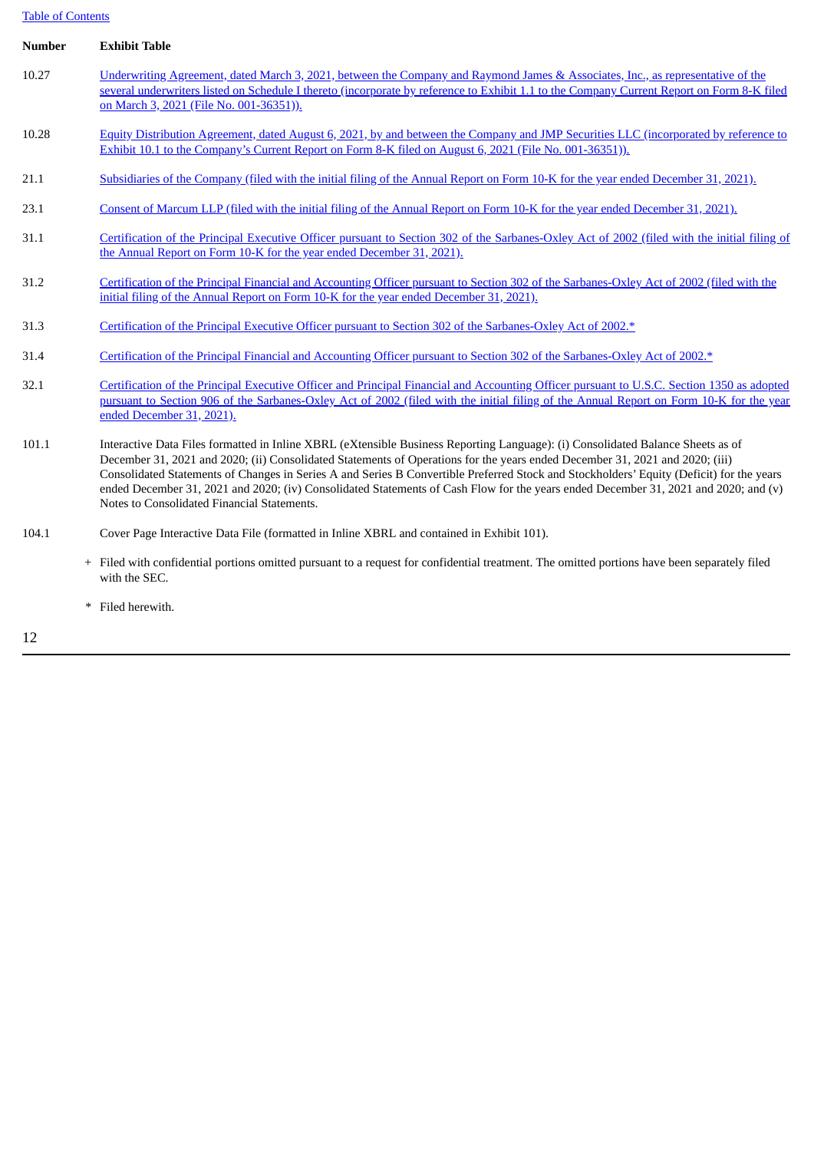# Table of Contents

| <b>Number</b> | <b>Exhibit Table</b>                                                                                                                                                                                                                                                                                                                                                                                                                                                                                                                                                                              |
|---------------|---------------------------------------------------------------------------------------------------------------------------------------------------------------------------------------------------------------------------------------------------------------------------------------------------------------------------------------------------------------------------------------------------------------------------------------------------------------------------------------------------------------------------------------------------------------------------------------------------|
| 10.27         | Underwriting Agreement, dated March 3, 2021, between the Company and Raymond James & Associates, Inc., as representative of the<br>several underwriters listed on Schedule I thereto (incorporate by reference to Exhibit 1.1 to the Company Current Report on Form 8-K filed<br>on March 3, 2021 (File No. 001-36351)).                                                                                                                                                                                                                                                                          |
| 10.28         | Equity Distribution Agreement, dated August 6, 2021, by and between the Company and JMP Securities LLC (incorporated by reference to<br>Exhibit 10.1 to the Company's Current Report on Form 8-K filed on August 6, 2021 (File No. 001-36351)).                                                                                                                                                                                                                                                                                                                                                   |
| 21.1          | Subsidiaries of the Company (filed with the initial filing of the Annual Report on Form 10-K for the year ended December 31, 2021).                                                                                                                                                                                                                                                                                                                                                                                                                                                               |
| 23.1          | Consent of Marcum LLP (filed with the initial filing of the Annual Report on Form 10-K for the year ended December 31, 2021).                                                                                                                                                                                                                                                                                                                                                                                                                                                                     |
| 31.1          | Certification of the Principal Executive Officer pursuant to Section 302 of the Sarbanes-Oxley Act of 2002 (filed with the initial filing of<br>the Annual Report on Form 10-K for the year ended December 31, 2021).                                                                                                                                                                                                                                                                                                                                                                             |
| 31.2          | Certification of the Principal Financial and Accounting Officer pursuant to Section 302 of the Sarbanes-Oxley Act of 2002 (filed with the<br>initial filing of the Annual Report on Form 10-K for the year ended December 31, 2021).                                                                                                                                                                                                                                                                                                                                                              |
| 31.3          | Certification of the Principal Executive Officer pursuant to Section 302 of the Sarbanes-Oxley Act of 2002.*                                                                                                                                                                                                                                                                                                                                                                                                                                                                                      |
| 31.4          | Certification of the Principal Financial and Accounting Officer pursuant to Section 302 of the Sarbanes-Oxley Act of 2002.*                                                                                                                                                                                                                                                                                                                                                                                                                                                                       |
| 32.1          | Certification of the Principal Executive Officer and Principal Financial and Accounting Officer pursuant to U.S.C. Section 1350 as adopted<br>pursuant to Section 906 of the Sarbanes-Oxley Act of 2002 (filed with the initial filing of the Annual Report on Form 10-K for the year<br>ended December 31, 2021).                                                                                                                                                                                                                                                                                |
| 101.1         | Interactive Data Files formatted in Inline XBRL (eXtensible Business Reporting Language): (i) Consolidated Balance Sheets as of<br>December 31, 2021 and 2020; (ii) Consolidated Statements of Operations for the years ended December 31, 2021 and 2020; (iii)<br>Consolidated Statements of Changes in Series A and Series B Convertible Preferred Stock and Stockholders' Equity (Deficit) for the years<br>ended December 31, 2021 and 2020; (iv) Consolidated Statements of Cash Flow for the years ended December 31, 2021 and 2020; and (v)<br>Notes to Consolidated Financial Statements. |
| 104.1         | Cover Page Interactive Data File (formatted in Inline XBRL and contained in Exhibit 101).                                                                                                                                                                                                                                                                                                                                                                                                                                                                                                         |
|               | + Filed with confidential portions omitted pursuant to a request for confidential treatment. The omitted portions have been separately filed<br>with the SEC.                                                                                                                                                                                                                                                                                                                                                                                                                                     |

\* Filed herewith.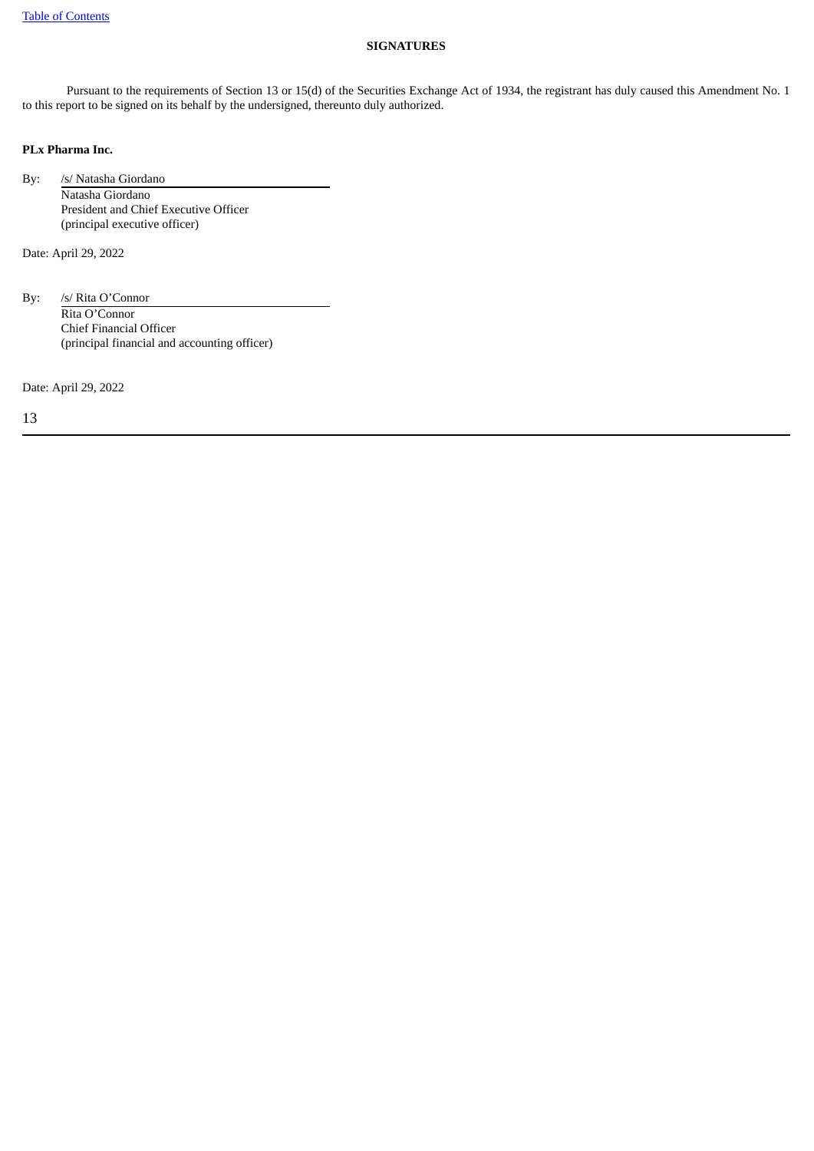## **SIGNATURES**

Pursuant to the requirements of Section 13 or 15(d) of the Securities Exchange Act of 1934, the registrant has duly caused this Amendment No. 1 to this report to be signed on its behalf by the undersigned, thereunto duly authorized.

## **PLx Pharma Inc.**

By: /s/ Natasha Giordano Natasha Giordano President and Chief Executive Officer (principal executive officer)

Date: April 29, 2022

By: /s/ Rita O'Connor Rita O'Connor Chief Financial Officer (principal financial and accounting officer)

Date: April 29, 2022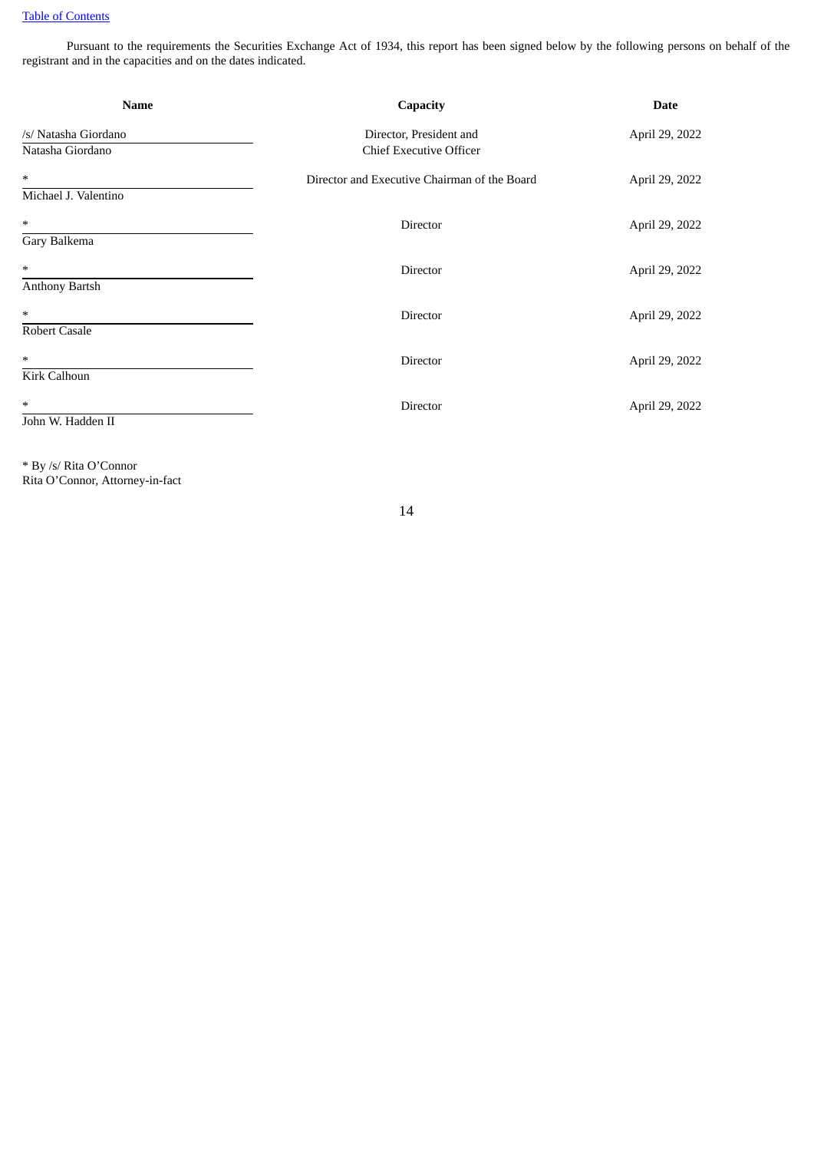Pursuant to the requirements the Securities Exchange Act of 1934, this report has been signed below by the following persons on behalf of the registrant and in the capacities and on the dates indicated.

| <b>Name</b>                              | Capacity                                                  | <b>Date</b>    |
|------------------------------------------|-----------------------------------------------------------|----------------|
| /s/ Natasha Giordano<br>Natasha Giordano | Director, President and<br><b>Chief Executive Officer</b> | April 29, 2022 |
| $\ast$<br>Michael J. Valentino           | Director and Executive Chairman of the Board              | April 29, 2022 |
| $\ast$<br>Gary Balkema                   | Director                                                  | April 29, 2022 |
| $\ast$<br><b>Anthony Bartsh</b>          | Director                                                  | April 29, 2022 |
| $\ast$<br>Robert Casale                  | <b>Director</b>                                           | April 29, 2022 |
| $\ast$<br>Kirk Calhoun                   | Director                                                  | April 29, 2022 |
| $\ast$<br>John W. Hadden II              | Director                                                  | April 29, 2022 |

\* By /s/ Rita O'Connor Rita O'Connor, Attorney-in-fact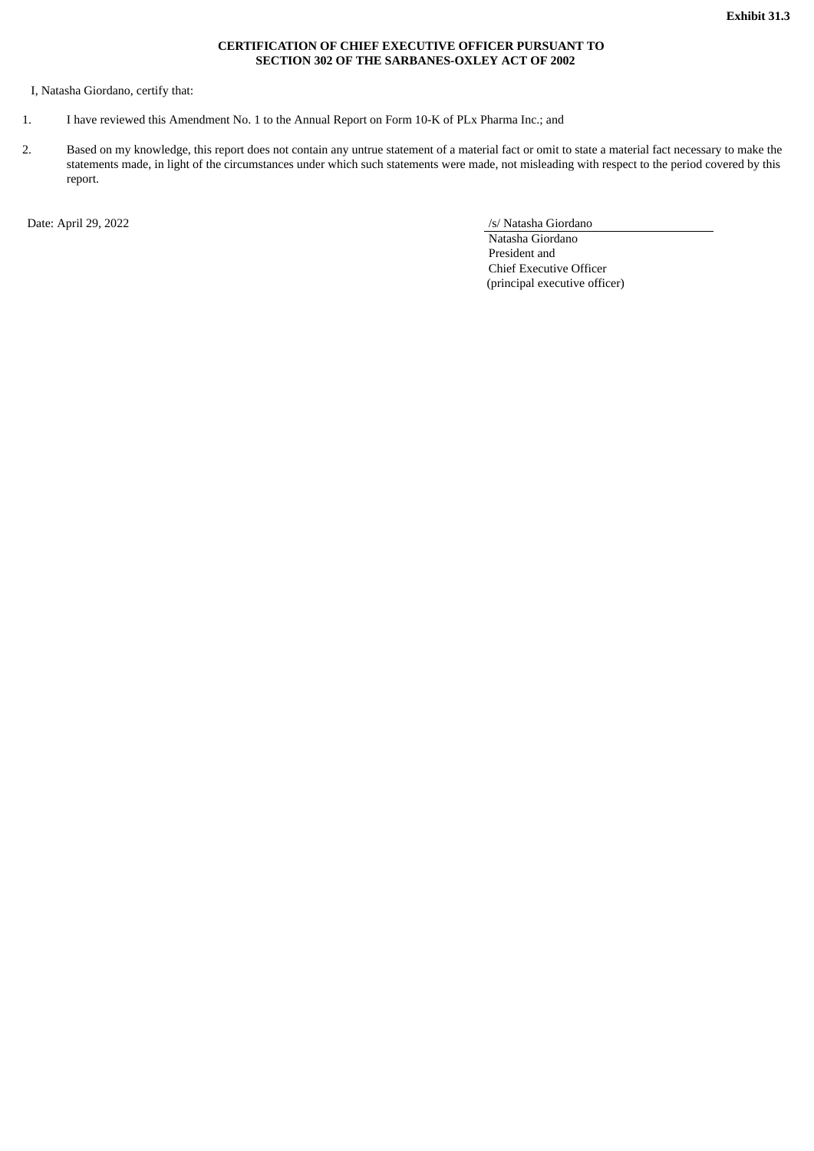## **CERTIFICATION OF CHIEF EXECUTIVE OFFICER PURSUANT TO SECTION 302 OF THE SARBANES-OXLEY ACT OF 2002**

<span id="page-19-0"></span>I, Natasha Giordano, certify that:

- 1. I have reviewed this Amendment No. 1 to the Annual Report on Form 10-K of PLx Pharma Inc.; and
- 2. Based on my knowledge, this report does not contain any untrue statement of a material fact or omit to state a material fact necessary to make the statements made, in light of the circumstances under which such statements were made, not misleading with respect to the period covered by this report.

Date: April 29, 2022 /s/ Natasha Giordano

Natasha Giordano President and Chief Executive Officer (principal executive officer)